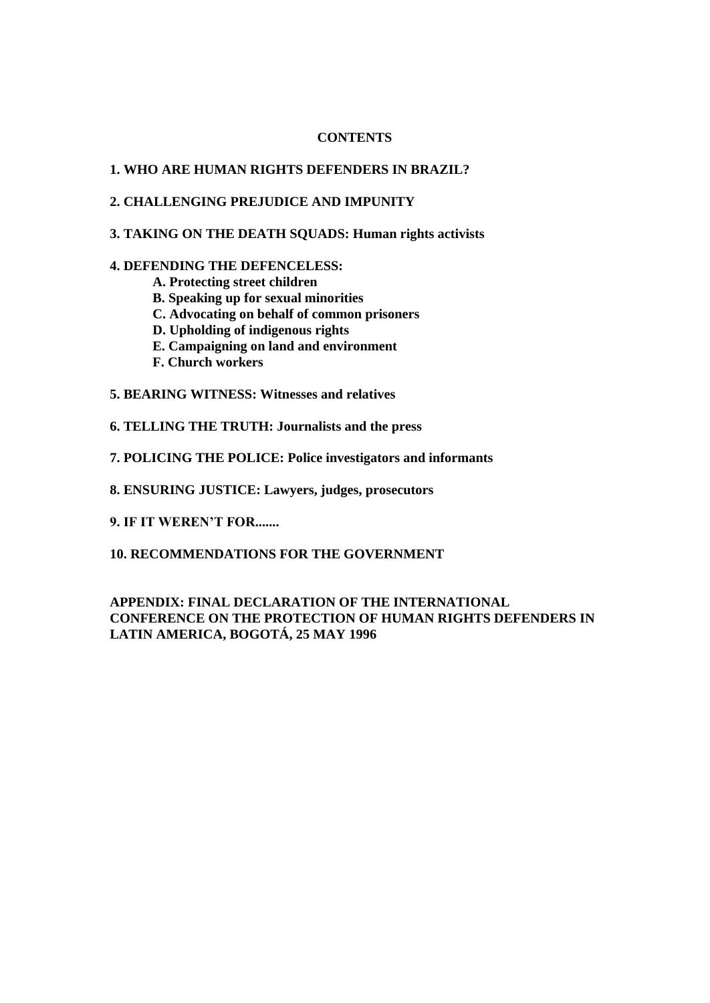# **CONTENTS**

# **1. WHO ARE HUMAN RIGHTS DEFENDERS IN BRAZIL?**

## **2. CHALLENGING PREJUDICE AND IMPUNITY**

## **3. TAKING ON THE DEATH SQUADS: Human rights activists**

#### **4. DEFENDING THE DEFENCELESS:**

- **A. Protecting street children**
- **B. Speaking up for sexual minorities**
- **C. Advocating on behalf of common prisoners**
- **D. Upholding of indigenous rights**
- **E. Campaigning on land and environment**
- **F. Church workers**

**5. BEARING WITNESS: Witnesses and relatives**

**6. TELLING THE TRUTH: Journalists and the press**

**7. POLICING THE POLICE: Police investigators and informants**

**8. ENSURING JUSTICE: Lawyers, judges, prosecutors**

**9. IF IT WEREN'T FOR.......**

**10. RECOMMENDATIONS FOR THE GOVERNMENT**

# **APPENDIX: FINAL DECLARATION OF THE INTERNATIONAL CONFERENCE ON THE PROTECTION OF HUMAN RIGHTS DEFENDERS IN LATIN AMERICA, BOGOTÁ, 25 MAY 1996**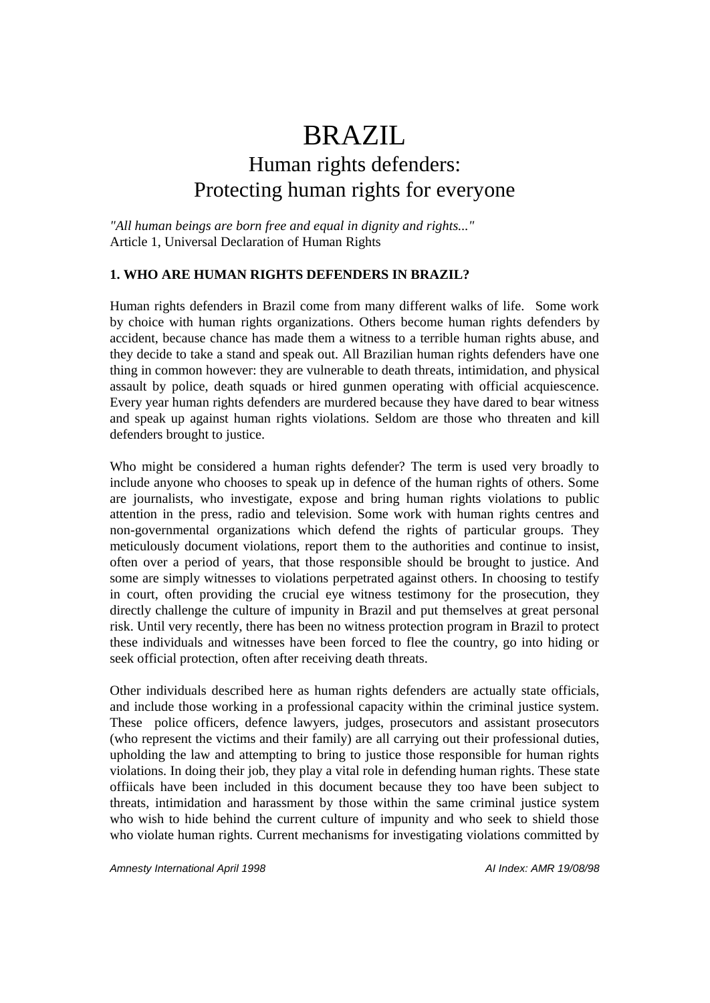# BRAZIL Human rights defenders: Protecting human rights for everyone

*"All human beings are born free and equal in dignity and rights..."* Article 1, Universal Declaration of Human Rights

## **1. WHO ARE HUMAN RIGHTS DEFENDERS IN BRAZIL?**

Human rights defenders in Brazil come from many different walks of life. Some work by choice with human rights organizations. Others become human rights defenders by accident, because chance has made them a witness to a terrible human rights abuse, and they decide to take a stand and speak out. All Brazilian human rights defenders have one thing in common however: they are vulnerable to death threats, intimidation, and physical assault by police, death squads or hired gunmen operating with official acquiescence. Every year human rights defenders are murdered because they have dared to bear witness and speak up against human rights violations. Seldom are those who threaten and kill defenders brought to justice.

Who might be considered a human rights defender? The term is used very broadly to include anyone who chooses to speak up in defence of the human rights of others. Some are journalists, who investigate, expose and bring human rights violations to public attention in the press, radio and television. Some work with human rights centres and non-governmental organizations which defend the rights of particular groups. They meticulously document violations, report them to the authorities and continue to insist, often over a period of years, that those responsible should be brought to justice. And some are simply witnesses to violations perpetrated against others. In choosing to testify in court, often providing the crucial eye witness testimony for the prosecution, they directly challenge the culture of impunity in Brazil and put themselves at great personal risk. Until very recently, there has been no witness protection program in Brazil to protect these individuals and witnesses have been forced to flee the country, go into hiding or seek official protection, often after receiving death threats.

Other individuals described here as human rights defenders are actually state officials, and include those working in a professional capacity within the criminal justice system. These police officers, defence lawyers, judges, prosecutors and assistant prosecutors (who represent the victims and their family) are all carrying out their professional duties, upholding the law and attempting to bring to justice those responsible for human rights violations. In doing their job, they play a vital role in defending human rights. These state offiicals have been included in this document because they too have been subject to threats, intimidation and harassment by those within the same criminal justice system who wish to hide behind the current culture of impunity and who seek to shield those who violate human rights. Current mechanisms for investigating violations committed by

*Amnesty International April 1998 AI Index: AMR 19/08/98*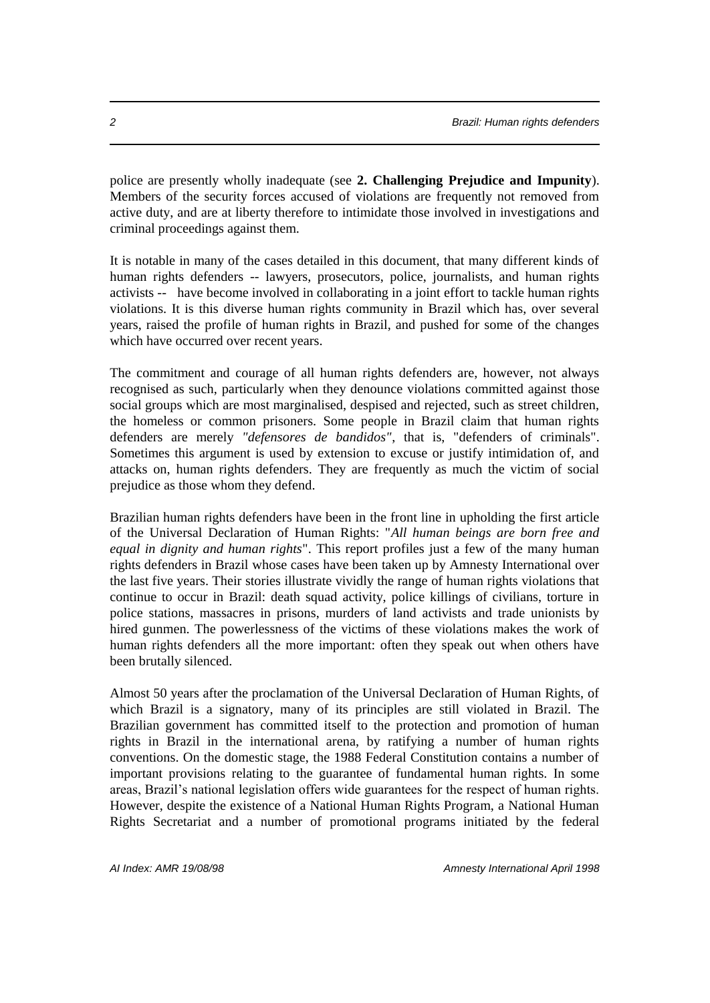police are presently wholly inadequate (see **2. Challenging Prejudice and Impunity**). Members of the security forces accused of violations are frequently not removed from active duty, and are at liberty therefore to intimidate those involved in investigations and criminal proceedings against them.

It is notable in many of the cases detailed in this document, that many different kinds of human rights defenders -- lawyers, prosecutors, police, journalists, and human rights activists -- have become involved in collaborating in a joint effort to tackle human rights violations. It is this diverse human rights community in Brazil which has, over several years, raised the profile of human rights in Brazil, and pushed for some of the changes which have occurred over recent years.

The commitment and courage of all human rights defenders are, however, not always recognised as such, particularly when they denounce violations committed against those social groups which are most marginalised, despised and rejected, such as street children, the homeless or common prisoners. Some people in Brazil claim that human rights defenders are merely *"defensores de bandidos"*, that is, "defenders of criminals". Sometimes this argument is used by extension to excuse or justify intimidation of, and attacks on, human rights defenders. They are frequently as much the victim of social prejudice as those whom they defend.

Brazilian human rights defenders have been in the front line in upholding the first article of the Universal Declaration of Human Rights: "*All human beings are born free and equal in dignity and human rights*". This report profiles just a few of the many human rights defenders in Brazil whose cases have been taken up by Amnesty International over the last five years. Their stories illustrate vividly the range of human rights violations that continue to occur in Brazil: death squad activity, police killings of civilians, torture in police stations, massacres in prisons, murders of land activists and trade unionists by hired gunmen. The powerlessness of the victims of these violations makes the work of human rights defenders all the more important: often they speak out when others have been brutally silenced.

Almost 50 years after the proclamation of the Universal Declaration of Human Rights, of which Brazil is a signatory, many of its principles are still violated in Brazil. The Brazilian government has committed itself to the protection and promotion of human rights in Brazil in the international arena, by ratifying a number of human rights conventions. On the domestic stage, the 1988 Federal Constitution contains a number of important provisions relating to the guarantee of fundamental human rights. In some areas, Brazil's national legislation offers wide guarantees for the respect of human rights. However, despite the existence of a National Human Rights Program, a National Human Rights Secretariat and a number of promotional programs initiated by the federal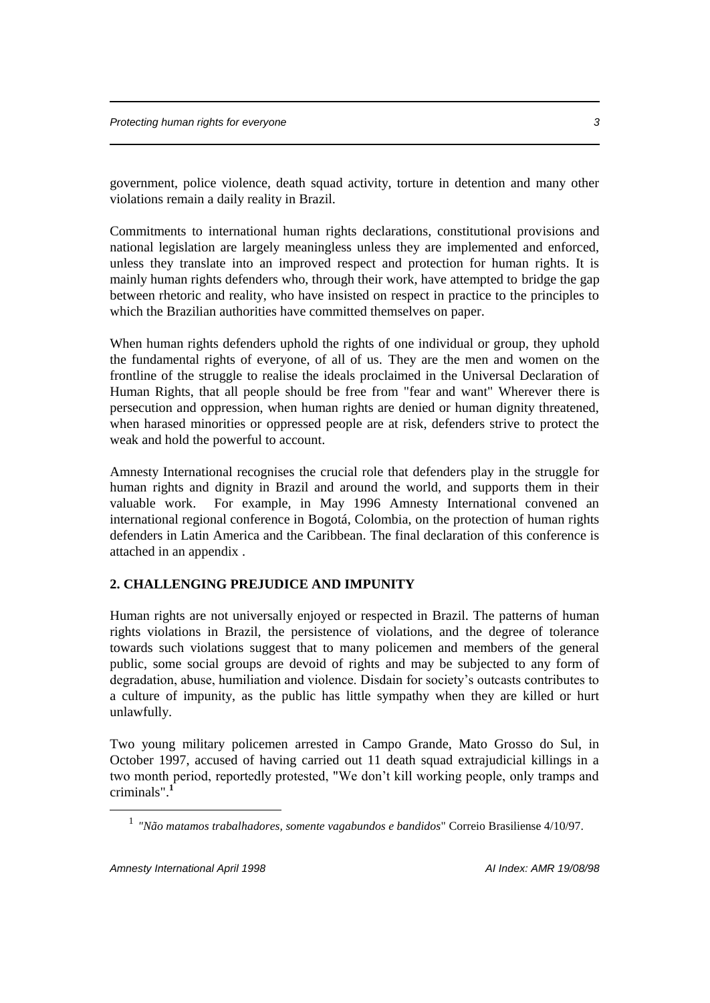government, police violence, death squad activity, torture in detention and many other violations remain a daily reality in Brazil.

Commitments to international human rights declarations, constitutional provisions and national legislation are largely meaningless unless they are implemented and enforced, unless they translate into an improved respect and protection for human rights. It is mainly human rights defenders who, through their work, have attempted to bridge the gap between rhetoric and reality, who have insisted on respect in practice to the principles to which the Brazilian authorities have committed themselves on paper.

When human rights defenders uphold the rights of one individual or group, they uphold the fundamental rights of everyone, of all of us. They are the men and women on the frontline of the struggle to realise the ideals proclaimed in the Universal Declaration of Human Rights, that all people should be free from "fear and want" Wherever there is persecution and oppression, when human rights are denied or human dignity threatened, when harased minorities or oppressed people are at risk, defenders strive to protect the weak and hold the powerful to account.

Amnesty International recognises the crucial role that defenders play in the struggle for human rights and dignity in Brazil and around the world, and supports them in their valuable work. For example, in May 1996 Amnesty International convened an international regional conference in Bogotá, Colombia, on the protection of human rights defenders in Latin America and the Caribbean. The final declaration of this conference is attached in an appendix .

# **2. CHALLENGING PREJUDICE AND IMPUNITY**

Human rights are not universally enjoyed or respected in Brazil. The patterns of human rights violations in Brazil, the persistence of violations, and the degree of tolerance towards such violations suggest that to many policemen and members of the general public, some social groups are devoid of rights and may be subjected to any form of degradation, abuse, humiliation and violence. Disdain for society's outcasts contributes to a culture of impunity, as the public has little sympathy when they are killed or hurt unlawfully.

Two young military policemen arrested in Campo Grande, Mato Grosso do Sul, in October 1997, accused of having carried out 11 death squad extrajudicial killings in a two month period, reportedly protested, "We don't kill working people, only tramps and criminals".**<sup>1</sup>**

<sup>1</sup> *"Não matamos trabalhadores, somente vagabundos e bandidos*" Correio Brasiliense 4/10/97.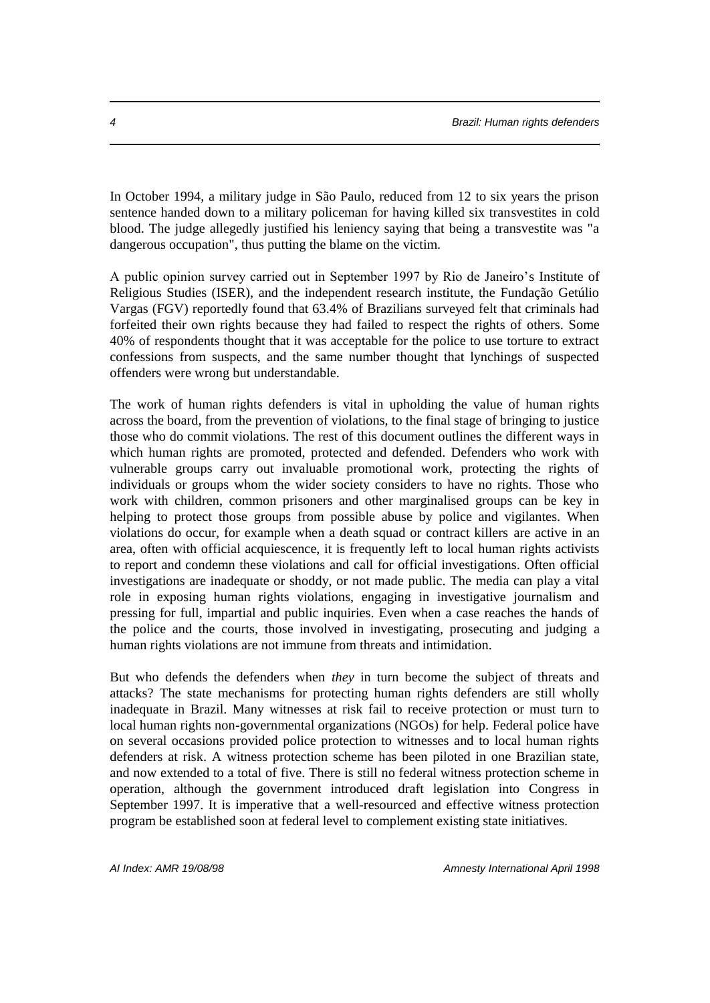In October 1994, a military judge in São Paulo, reduced from 12 to six years the prison sentence handed down to a military policeman for having killed six transvestites in cold blood. The judge allegedly justified his leniency saying that being a transvestite was "a dangerous occupation", thus putting the blame on the victim.

A public opinion survey carried out in September 1997 by Rio de Janeiro's Institute of Religious Studies (ISER), and the independent research institute, the Fundação Getúlio Vargas (FGV) reportedly found that 63.4% of Brazilians surveyed felt that criminals had forfeited their own rights because they had failed to respect the rights of others. Some 40% of respondents thought that it was acceptable for the police to use torture to extract confessions from suspects, and the same number thought that lynchings of suspected offenders were wrong but understandable.

The work of human rights defenders is vital in upholding the value of human rights across the board, from the prevention of violations, to the final stage of bringing to justice those who do commit violations. The rest of this document outlines the different ways in which human rights are promoted, protected and defended. Defenders who work with vulnerable groups carry out invaluable promotional work, protecting the rights of individuals or groups whom the wider society considers to have no rights. Those who work with children, common prisoners and other marginalised groups can be key in helping to protect those groups from possible abuse by police and vigilantes. When violations do occur, for example when a death squad or contract killers are active in an area, often with official acquiescence, it is frequently left to local human rights activists to report and condemn these violations and call for official investigations. Often official investigations are inadequate or shoddy, or not made public. The media can play a vital role in exposing human rights violations, engaging in investigative journalism and pressing for full, impartial and public inquiries. Even when a case reaches the hands of the police and the courts, those involved in investigating, prosecuting and judging a human rights violations are not immune from threats and intimidation.

But who defends the defenders when *they* in turn become the subject of threats and attacks? The state mechanisms for protecting human rights defenders are still wholly inadequate in Brazil. Many witnesses at risk fail to receive protection or must turn to local human rights non-governmental organizations (NGOs) for help. Federal police have on several occasions provided police protection to witnesses and to local human rights defenders at risk. A witness protection scheme has been piloted in one Brazilian state, and now extended to a total of five. There is still no federal witness protection scheme in operation, although the government introduced draft legislation into Congress in September 1997. It is imperative that a well-resourced and effective witness protection program be established soon at federal level to complement existing state initiatives.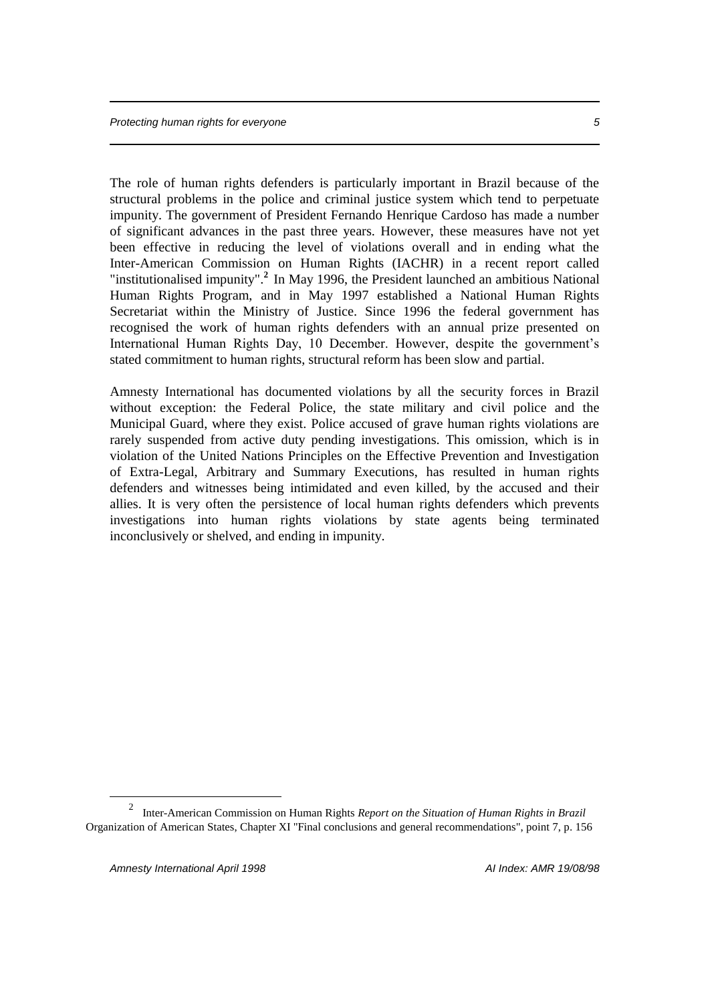The role of human rights defenders is particularly important in Brazil because of the structural problems in the police and criminal justice system which tend to perpetuate impunity. The government of President Fernando Henrique Cardoso has made a number of significant advances in the past three years. However, these measures have not yet been effective in reducing the level of violations overall and in ending what the Inter-American Commission on Human Rights (IACHR) in a recent report called "institutionalised impunity".**<sup>2</sup>** In May 1996, the President launched an ambitious National Human Rights Program, and in May 1997 established a National Human Rights Secretariat within the Ministry of Justice. Since 1996 the federal government has recognised the work of human rights defenders with an annual prize presented on International Human Rights Day, 10 December. However, despite the government's stated commitment to human rights, structural reform has been slow and partial.

Amnesty International has documented violations by all the security forces in Brazil without exception: the Federal Police, the state military and civil police and the Municipal Guard, where they exist. Police accused of grave human rights violations are rarely suspended from active duty pending investigations. This omission, which is in violation of the United Nations Principles on the Effective Prevention and Investigation of Extra-Legal, Arbitrary and Summary Executions, has resulted in human rights defenders and witnesses being intimidated and even killed, by the accused and their allies. It is very often the persistence of local human rights defenders which prevents investigations into human rights violations by state agents being terminated inconclusively or shelved, and ending in impunity.

<sup>2</sup> Inter-American Commission on Human Rights *Report on the Situation of Human Rights in Brazil* Organization of American States, Chapter XI "Final conclusions and general recommendations", point 7, p. 156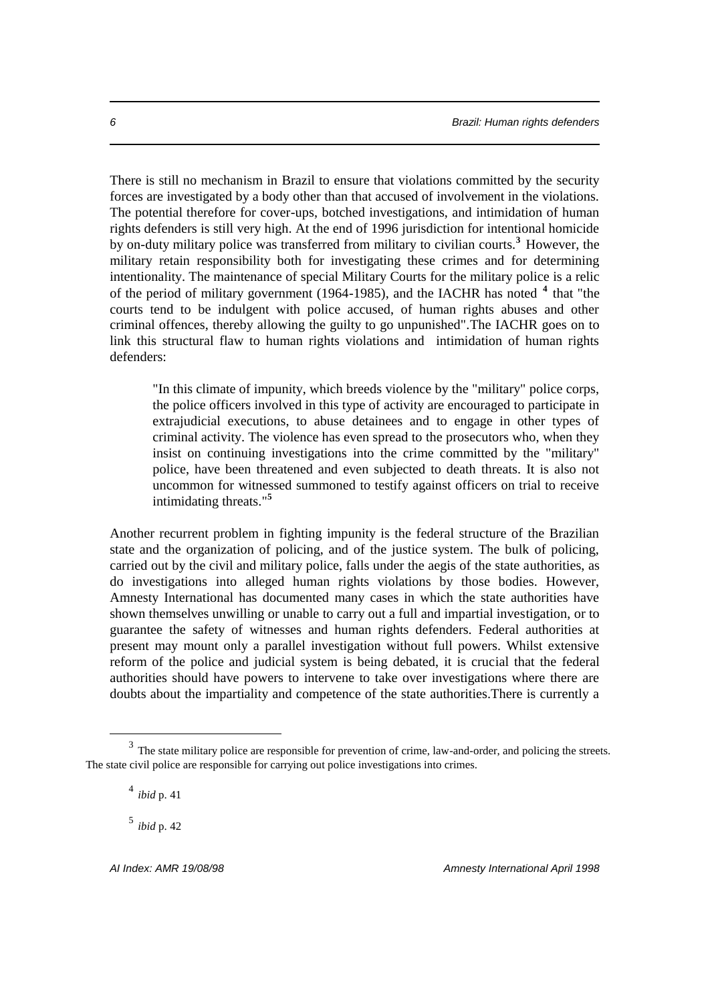There is still no mechanism in Brazil to ensure that violations committed by the security forces are investigated by a body other than that accused of involvement in the violations. The potential therefore for cover-ups, botched investigations, and intimidation of human rights defenders is still very high. At the end of 1996 jurisdiction for intentional homicide by on-duty military police was transferred from military to civilian courts.**<sup>3</sup>** However, the military retain responsibility both for investigating these crimes and for determining intentionality. The maintenance of special Military Courts for the military police is a relic of the period of military government (1964-1985), and the IACHR has noted **<sup>4</sup>** that "the courts tend to be indulgent with police accused, of human rights abuses and other criminal offences, thereby allowing the guilty to go unpunished"*.*The IACHR goes on to link this structural flaw to human rights violations and intimidation of human rights defenders:

"In this climate of impunity, which breeds violence by the "military" police corps, the police officers involved in this type of activity are encouraged to participate in extrajudicial executions, to abuse detainees and to engage in other types of criminal activity. The violence has even spread to the prosecutors who, when they insist on continuing investigations into the crime committed by the "military" police, have been threatened and even subjected to death threats. It is also not uncommon for witnessed summoned to testify against officers on trial to receive intimidating threats."**<sup>5</sup>**

Another recurrent problem in fighting impunity is the federal structure of the Brazilian state and the organization of policing, and of the justice system. The bulk of policing, carried out by the civil and military police, falls under the aegis of the state authorities, as do investigations into alleged human rights violations by those bodies. However, Amnesty International has documented many cases in which the state authorities have shown themselves unwilling or unable to carry out a full and impartial investigation, or to guarantee the safety of witnesses and human rights defenders. Federal authorities at present may mount only a parallel investigation without full powers. Whilst extensive reform of the police and judicial system is being debated, it is crucial that the federal authorities should have powers to intervene to take over investigations where there are doubts about the impartiality and competence of the state authorities.There is currently a

 $\overline{a}$ 

5 *ibid* p. 42

*AI Index: AMR 19/08/98 Amnesty International April 1998*

<sup>&</sup>lt;sup>3</sup> The state military police are responsible for prevention of crime, law-and-order, and policing the streets. The state civil police are responsible for carrying out police investigations into crimes.

<sup>4</sup> *ibid* p. 41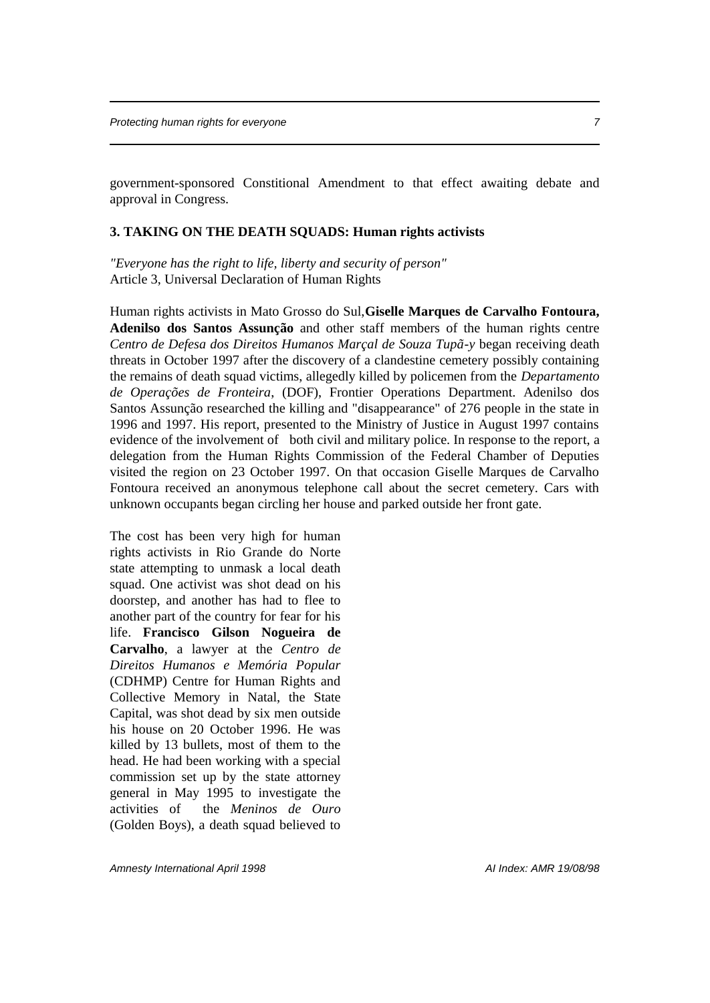government-sponsored Constitional Amendment to that effect awaiting debate and approval in Congress.

#### **3. TAKING ON THE DEATH SQUADS: Human rights activists**

*"Everyone has the right to life, liberty and security of person"* Article 3, Universal Declaration of Human Rights

Human rights activists in Mato Grosso do Sul,**Giselle Marques de Carvalho Fontoura, Adenilso dos Santos Assunção** and other staff members of the human rights centre *Centro de Defesa dos Direitos Humanos Marçal de Souza Tupã-y* began receiving death threats in October 1997 after the discovery of a clandestine cemetery possibly containing the remains of death squad victims, allegedly killed by policemen from the *Departamento de Operações de Fronteira*, (DOF), Frontier Operations Department. Adenilso dos Santos Assunção researched the killing and "disappearance" of 276 people in the state in 1996 and 1997. His report, presented to the Ministry of Justice in August 1997 contains evidence of the involvement of both civil and military police. In response to the report, a delegation from the Human Rights Commission of the Federal Chamber of Deputies visited the region on 23 October 1997. On that occasion Giselle Marques de Carvalho Fontoura received an anonymous telephone call about the secret cemetery. Cars with unknown occupants began circling her house and parked outside her front gate.

The cost has been very high for human rights activists in Rio Grande do Norte state attempting to unmask a local death squad. One activist was shot dead on his doorstep, and another has had to flee to another part of the country for fear for his life. **Francisco Gilson Nogueira de Carvalho**, a lawyer at the *Centro de Direitos Humanos e Memória Popular* (CDHMP) Centre for Human Rights and Collective Memory in Natal, the State Capital, was shot dead by six men outside his house on 20 October 1996. He was killed by 13 bullets, most of them to the head. He had been working with a special commission set up by the state attorney general in May 1995 to investigate the activities of the *Meninos de Ouro*  (Golden Boys), a death squad believed to

*Amnesty International April 1998 AI Index: AMR 19/08/98*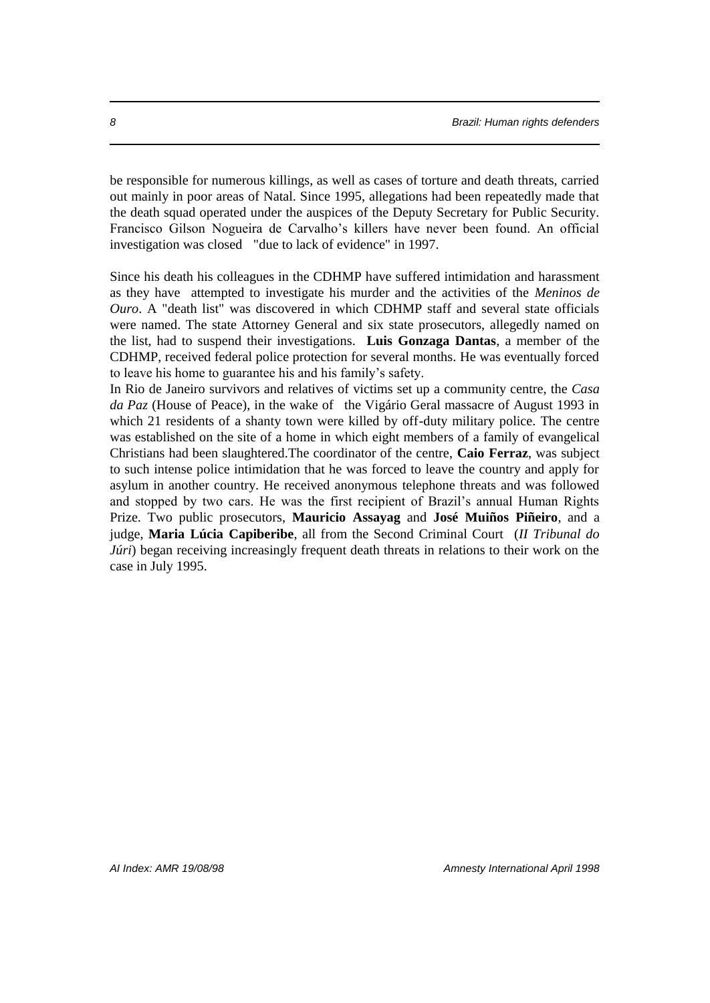be responsible for numerous killings, as well as cases of torture and death threats, carried out mainly in poor areas of Natal. Since 1995, allegations had been repeatedly made that the death squad operated under the auspices of the Deputy Secretary for Public Security. Francisco Gilson Nogueira de Carvalho's killers have never been found. An official investigation was closed "due to lack of evidence" in 1997.

Since his death his colleagues in the CDHMP have suffered intimidation and harassment as they have attempted to investigate his murder and the activities of the *Meninos de Ouro*. A "death list" was discovered in which CDHMP staff and several state officials were named. The state Attorney General and six state prosecutors, allegedly named on the list, had to suspend their investigations. **Luis Gonzaga Dantas**, a member of the CDHMP, received federal police protection for several months. He was eventually forced to leave his home to guarantee his and his family's safety.

In Rio de Janeiro survivors and relatives of victims set up a community centre, the *Casa da Paz* (House of Peace), in the wake of the Vigário Geral massacre of August 1993 in which 21 residents of a shanty town were killed by off-duty military police. The centre was established on the site of a home in which eight members of a family of evangelical Christians had been slaughtered.The coordinator of the centre, **Caio Ferraz**, was subject to such intense police intimidation that he was forced to leave the country and apply for asylum in another country. He received anonymous telephone threats and was followed and stopped by two cars. He was the first recipient of Brazil's annual Human Rights Prize. Two public prosecutors, **Mauricio Assayag** and **José Muiños Piñeiro**, and a judge, **Maria Lúcia Capiberibe**, all from the Second Criminal Court (*II Tribunal do Júri*) began receiving increasingly frequent death threats in relations to their work on the case in July 1995.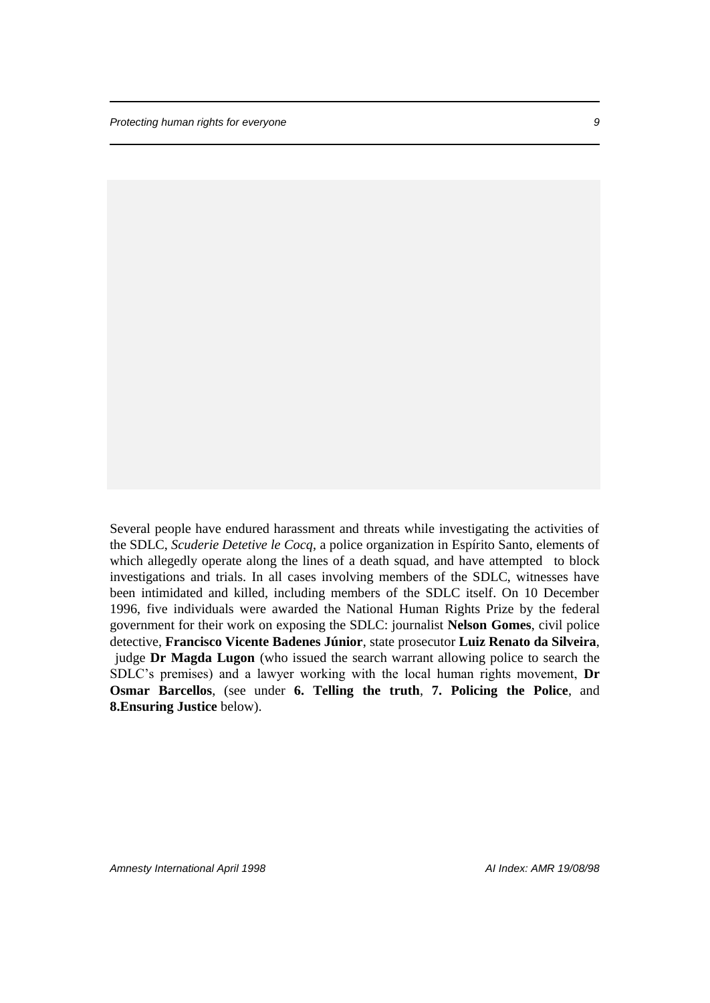Several people have endured harassment and threats while investigating the activities of the SDLC, *Scuderie Detetive le Cocq*, a police organization in Espírito Santo, elements of which allegedly operate along the lines of a death squad, and have attempted to block investigations and trials. In all cases involving members of the SDLC, witnesses have been intimidated and killed, including members of the SDLC itself. On 10 December 1996, five individuals were awarded the National Human Rights Prize by the federal government for their work on exposing the SDLC: journalist **Nelson Gomes**, civil police detective, **Francisco Vicente Badenes Júnior**, state prosecutor **Luiz Renato da Silveira**, judge **Dr Magda Lugon** (who issued the search warrant allowing police to search the SDLC's premises) and a lawyer working with the local human rights movement, **Dr Osmar Barcellos**, (see under **6. Telling the truth**, **7. Policing the Police**, and **8.Ensuring Justice** below).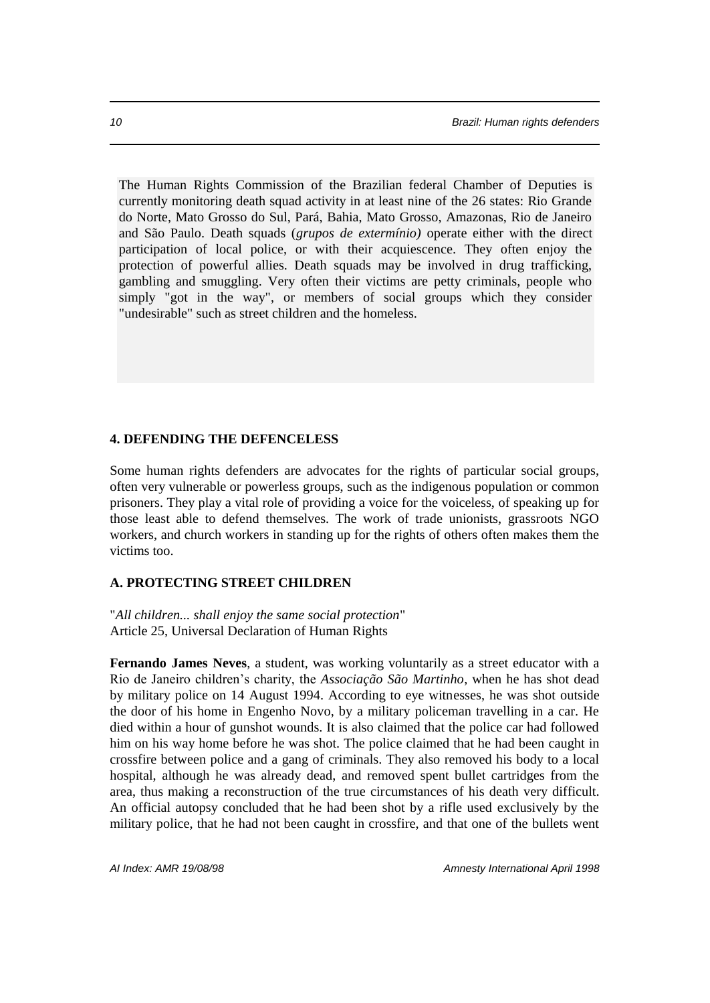The Human Rights Commission of the Brazilian federal Chamber of Deputies is currently monitoring death squad activity in at least nine of the 26 states: Rio Grande do Norte, Mato Grosso do Sul, Pará, Bahia, Mato Grosso, Amazonas, Rio de Janeiro and São Paulo. Death squads (*grupos de extermínio)* operate either with the direct participation of local police, or with their acquiescence. They often enjoy the protection of powerful allies. Death squads may be involved in drug trafficking, gambling and smuggling. Very often their victims are petty criminals, people who simply "got in the way", or members of social groups which they consider "undesirable" such as street children and the homeless.

#### **4. DEFENDING THE DEFENCELESS**

Some human rights defenders are advocates for the rights of particular social groups, often very vulnerable or powerless groups, such as the indigenous population or common prisoners. They play a vital role of providing a voice for the voiceless, of speaking up for those least able to defend themselves. The work of trade unionists, grassroots NGO workers, and church workers in standing up for the rights of others often makes them the victims too.

#### **A. PROTECTING STREET CHILDREN**

"*All children... shall enjoy the same social protection*" Article 25, Universal Declaration of Human Rights

**Fernando James Neves**, a student, was working voluntarily as a street educator with a Rio de Janeiro children's charity, the *Associação São Martinho*, when he has shot dead by military police on 14 August 1994. According to eye witnesses, he was shot outside the door of his home in Engenho Novo, by a military policeman travelling in a car. He died within a hour of gunshot wounds. It is also claimed that the police car had followed him on his way home before he was shot. The police claimed that he had been caught in crossfire between police and a gang of criminals. They also removed his body to a local hospital, although he was already dead, and removed spent bullet cartridges from the area, thus making a reconstruction of the true circumstances of his death very difficult. An official autopsy concluded that he had been shot by a rifle used exclusively by the military police, that he had not been caught in crossfire, and that one of the bullets went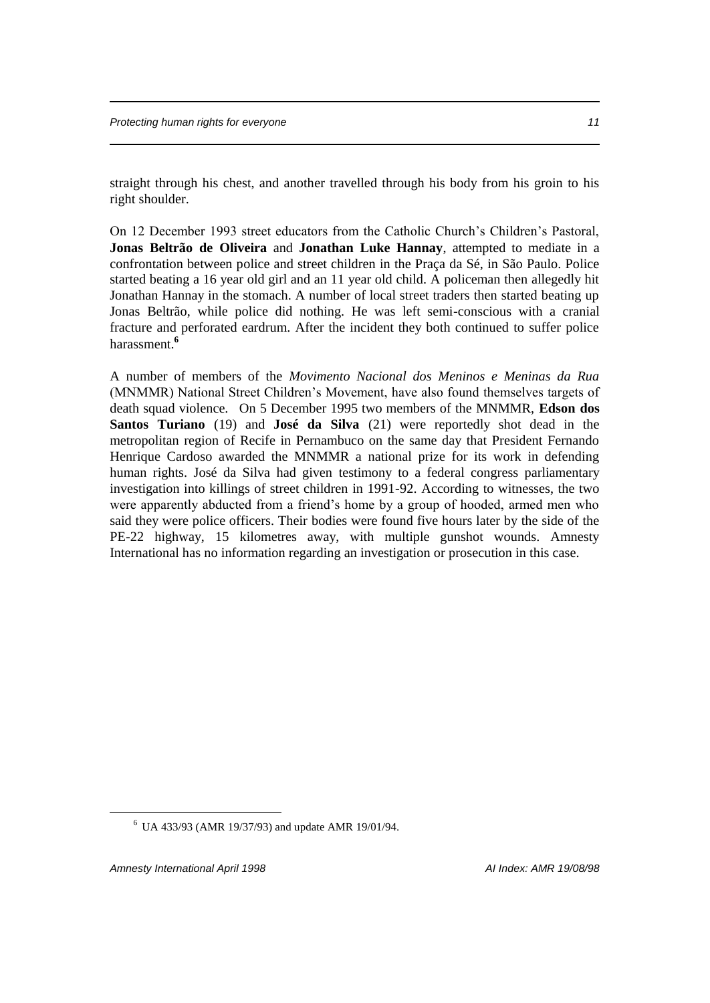straight through his chest, and another travelled through his body from his groin to his right shoulder.

On 12 December 1993 street educators from the Catholic Church's Children's Pastoral, **Jonas Beltrão de Oliveira** and **Jonathan Luke Hannay**, attempted to mediate in a confrontation between police and street children in the Praça da Sé, in São Paulo. Police started beating a 16 year old girl and an 11 year old child. A policeman then allegedly hit Jonathan Hannay in the stomach. A number of local street traders then started beating up Jonas Beltrão, while police did nothing. He was left semi-conscious with a cranial fracture and perforated eardrum. After the incident they both continued to suffer police harassment.**<sup>6</sup>**

A number of members of the *Movimento Nacional dos Meninos e Meninas da Rua* (MNMMR) National Street Children's Movement, have also found themselves targets of death squad violence. On 5 December 1995 two members of the MNMMR, **Edson dos Santos Turiano** (19) and **José da Silva** (21) were reportedly shot dead in the metropolitan region of Recife in Pernambuco on the same day that President Fernando Henrique Cardoso awarded the MNMMR a national prize for its work in defending human rights. José da Silva had given testimony to a federal congress parliamentary investigation into killings of street children in 1991-92. According to witnesses, the two were apparently abducted from a friend's home by a group of hooded, armed men who said they were police officers. Their bodies were found five hours later by the side of the PE-22 highway, 15 kilometres away, with multiple gunshot wounds. Amnesty International has no information regarding an investigation or prosecution in this case.

 $6$  UA 433/93 (AMR 19/37/93) and update AMR 19/01/94.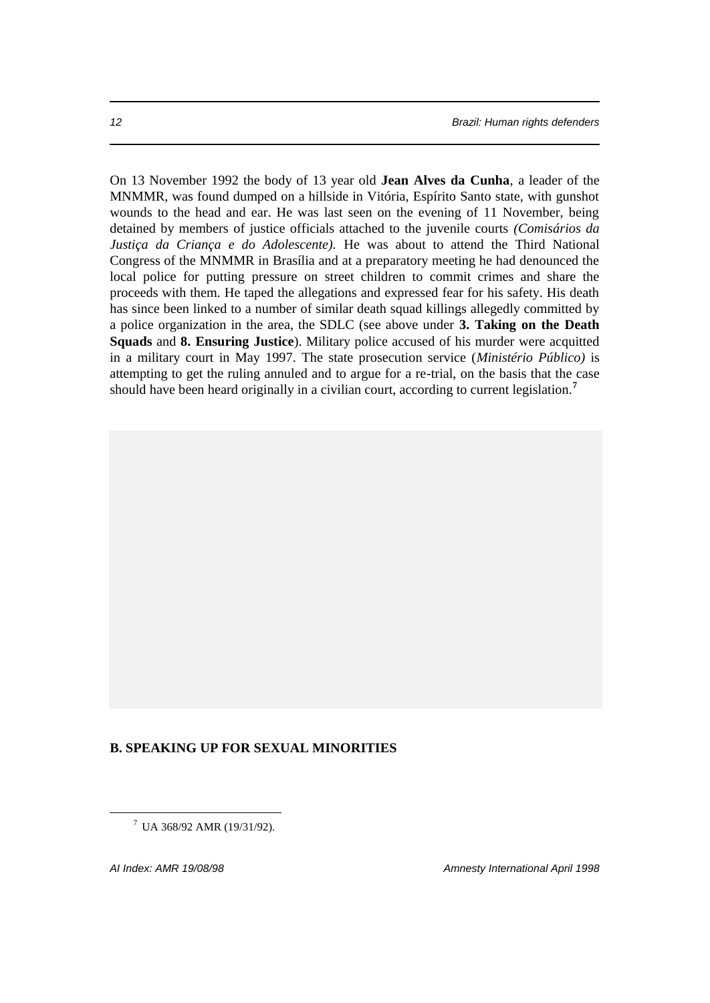On 13 November 1992 the body of 13 year old **Jean Alves da Cunha**, a leader of the MNMMR, was found dumped on a hillside in Vitória, Espírito Santo state, with gunshot wounds to the head and ear. He was last seen on the evening of 11 November, being detained by members of justice officials attached to the juvenile courts *(Comisários da Justiça da Criança e do Adolescente).* He was about to attend the Third National Congress of the MNMMR in Brasília and at a preparatory meeting he had denounced the local police for putting pressure on street children to commit crimes and share the proceeds with them. He taped the allegations and expressed fear for his safety. His death has since been linked to a number of similar death squad killings allegedly committed by a police organization in the area, the SDLC (see above under **3. Taking on the Death Squads** and **8. Ensuring Justice**). Military police accused of his murder were acquitted in a military court in May 1997. The state prosecution service (*Ministério Público)* is attempting to get the ruling annuled and to argue for a re-trial, on the basis that the case should have been heard originally in a civilian court, according to current legislation.**<sup>7</sup>**

# **B. SPEAKING UP FOR SEXUAL MINORITIES**

 $\overline{a}$ 

*AI Index: AMR 19/08/98 Amnesty International April 1998*

<sup>7</sup> UA 368/92 AMR (19/31/92).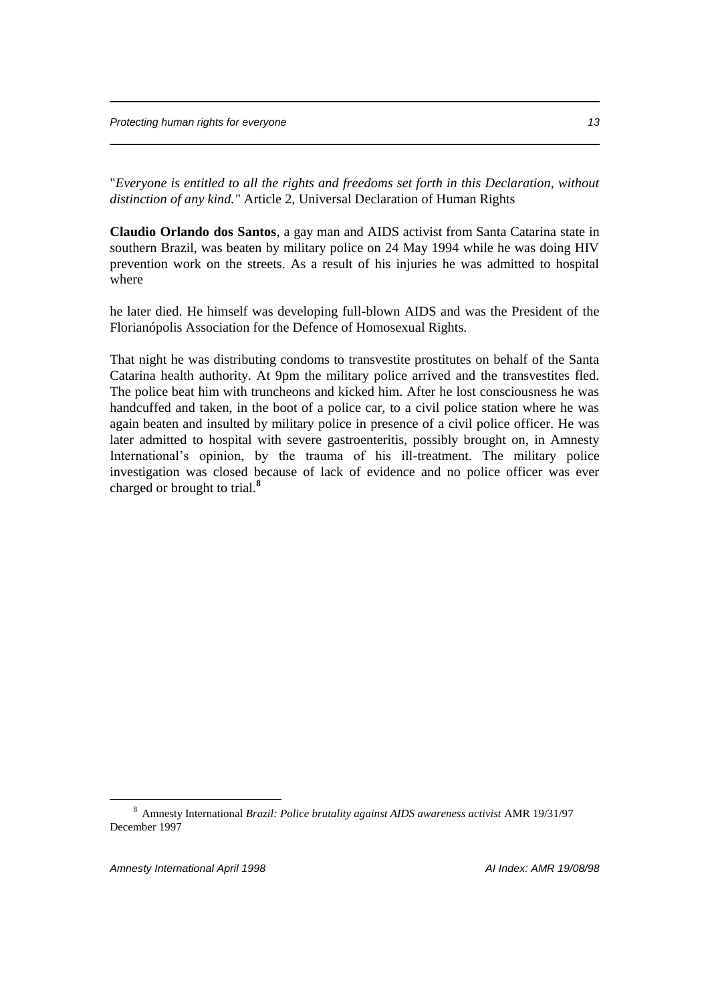"*Everyone is entitled to all the rights and freedoms set forth in this Declaration, without distinction of any kind."* Article 2, Universal Declaration of Human Rights

**Claudio Orlando dos Santos**, a gay man and AIDS activist from Santa Catarina state in southern Brazil, was beaten by military police on 24 May 1994 while he was doing HIV prevention work on the streets. As a result of his injuries he was admitted to hospital where

he later died. He himself was developing full-blown AIDS and was the President of the Florianópolis Association for the Defence of Homosexual Rights.

That night he was distributing condoms to transvestite prostitutes on behalf of the Santa Catarina health authority. At 9pm the military police arrived and the transvestites fled. The police beat him with truncheons and kicked him. After he lost consciousness he was handcuffed and taken, in the boot of a police car, to a civil police station where he was again beaten and insulted by military police in presence of a civil police officer. He was later admitted to hospital with severe gastroenteritis, possibly brought on, in Amnesty International's opinion, by the trauma of his ill-treatment. The military police investigation was closed because of lack of evidence and no police officer was ever charged or brought to trial.**<sup>8</sup>**

<sup>8</sup> Amnesty International *Brazil: Police brutality against AIDS awareness activist* AMR 19/31/97 December 1997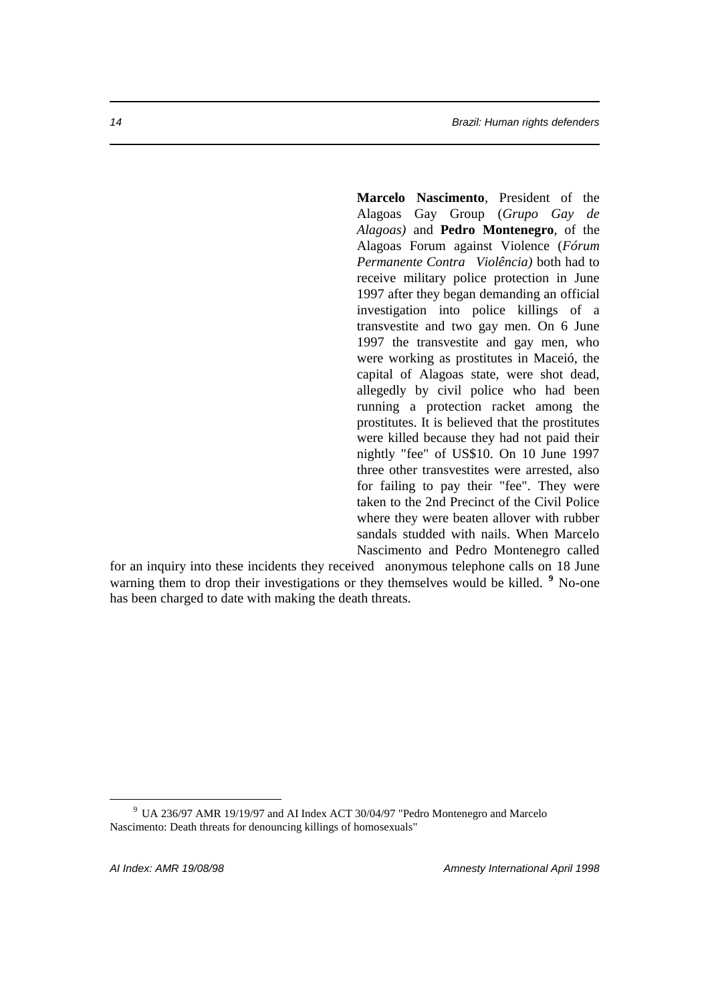**Marcelo Nascimento**, President of the Alagoas Gay Group (*Grupo Gay de Alagoas)* and **Pedro Montenegro**, of the Alagoas Forum against Violence (*Fórum Permanente Contra Violência)* both had to receive military police protection in June 1997 after they began demanding an official investigation into police killings of a transvestite and two gay men. On 6 June 1997 the transvestite and gay men, who were working as prostitutes in Maceió, the capital of Alagoas state, were shot dead, allegedly by civil police who had been running a protection racket among the prostitutes. It is believed that the prostitutes were killed because they had not paid their nightly "fee" of US\$10. On 10 June 1997 three other transvestites were arrested, also for failing to pay their "fee". They were taken to the 2nd Precinct of the Civil Police where they were beaten allover with rubber sandals studded with nails. When Marcelo Nascimento and Pedro Montenegro called

for an inquiry into these incidents they received anonymous telephone calls on 18 June warning them to drop their investigations or they themselves would be killed. <sup>9</sup> No-one has been charged to date with making the death threats.

<sup>9</sup> UA 236/97 AMR 19/19/97 and AI Index ACT 30/04/97 "Pedro Montenegro and Marcelo Nascimento: Death threats for denouncing killings of homosexuals"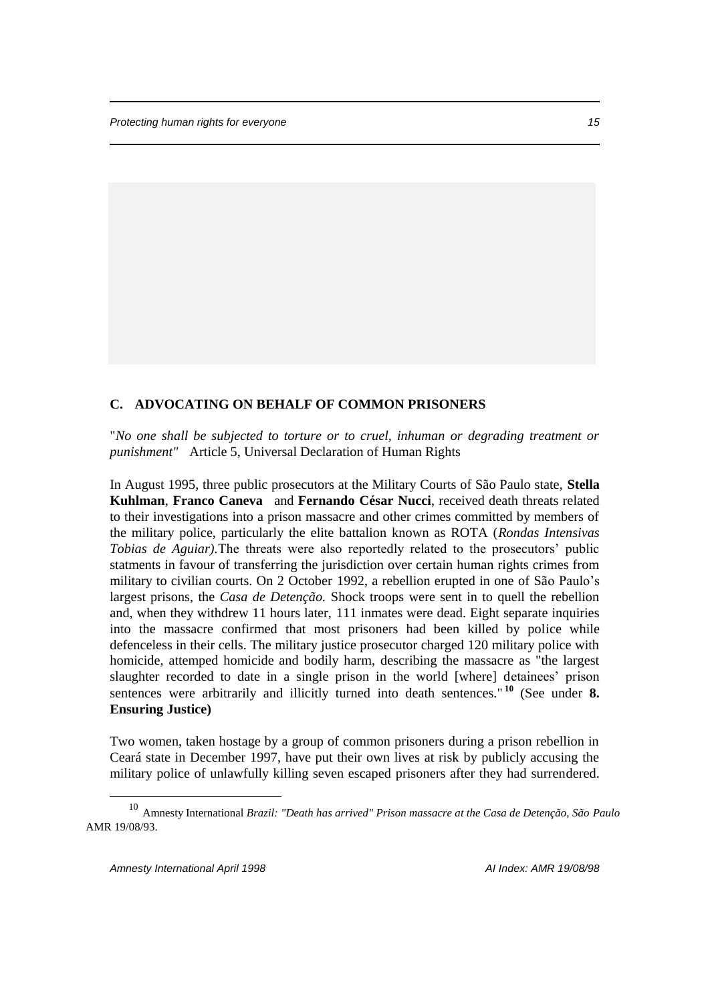# **C. ADVOCATING ON BEHALF OF COMMON PRISONERS**

"*No one shall be subjected to torture or to cruel, inhuman or degrading treatment or punishment"* Article 5, Universal Declaration of Human Rights

In August 1995, three public prosecutors at the Military Courts of São Paulo state, **Stella Kuhlman**, **Franco Caneva** and **Fernando César Nucci**, received death threats related to their investigations into a prison massacre and other crimes committed by members of the military police, particularly the elite battalion known as ROTA (*Rondas Intensivas Tobias de Aguiar).*The threats were also reportedly related to the prosecutors' public statments in favour of transferring the jurisdiction over certain human rights crimes from military to civilian courts. On 2 October 1992, a rebellion erupted in one of São Paulo's largest prisons, the *Casa de Detenção.* Shock troops were sent in to quell the rebellion and, when they withdrew 11 hours later, 111 inmates were dead. Eight separate inquiries into the massacre confirmed that most prisoners had been killed by police while defenceless in their cells. The military justice prosecutor charged 120 military police with homicide, attemped homicide and bodily harm, describing the massacre as "the largest slaughter recorded to date in a single prison in the world [where] detainees' prison sentences were arbitrarily and illicitly turned into death sentences."<sup>10</sup> (See under 8. **Ensuring Justice)** 

Two women, taken hostage by a group of common prisoners during a prison rebellion in Ceará state in December 1997, have put their own lives at risk by publicly accusing the military police of unlawfully killing seven escaped prisoners after they had surrendered.

<sup>10</sup> Amnesty International *Brazil: "Death has arrived" Prison massacre at the Casa de Detenção, São Paulo* AMR 19/08/93.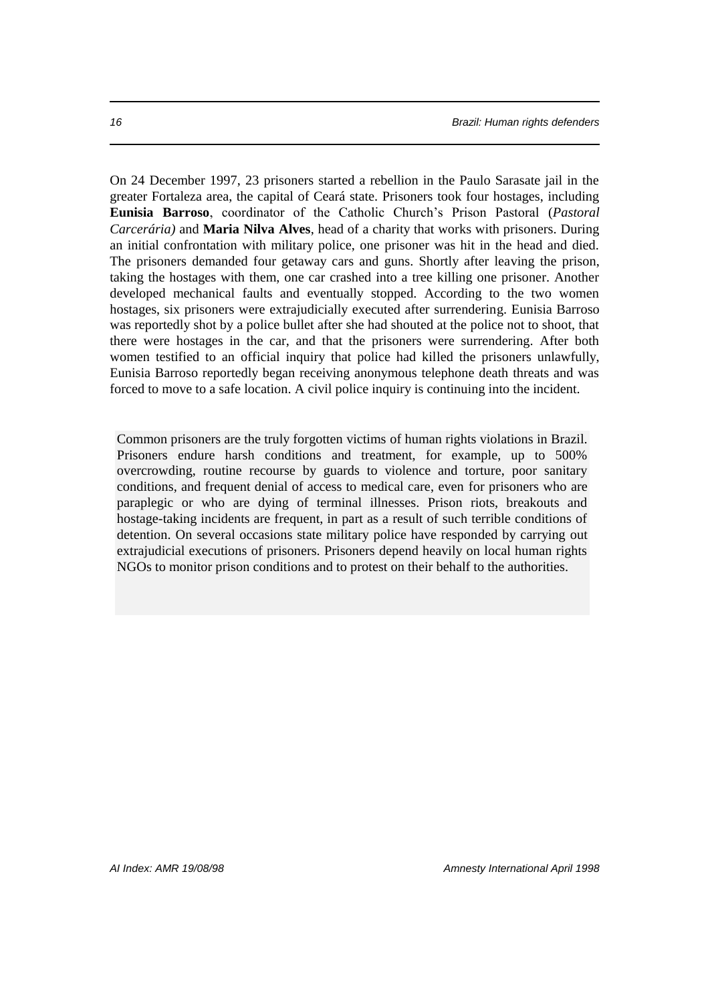On 24 December 1997, 23 prisoners started a rebellion in the Paulo Sarasate jail in the greater Fortaleza area, the capital of Ceará state. Prisoners took four hostages, including **Eunisia Barroso**, coordinator of the Catholic Church's Prison Pastoral (*Pastoral Carcerária)* and **Maria Nilva Alves**, head of a charity that works with prisoners. During an initial confrontation with military police, one prisoner was hit in the head and died. The prisoners demanded four getaway cars and guns. Shortly after leaving the prison, taking the hostages with them, one car crashed into a tree killing one prisoner. Another developed mechanical faults and eventually stopped. According to the two women hostages, six prisoners were extrajudicially executed after surrendering. Eunisia Barroso was reportedly shot by a police bullet after she had shouted at the police not to shoot, that there were hostages in the car, and that the prisoners were surrendering. After both women testified to an official inquiry that police had killed the prisoners unlawfully, Eunisia Barroso reportedly began receiving anonymous telephone death threats and was forced to move to a safe location. A civil police inquiry is continuing into the incident.

Common prisoners are the truly forgotten victims of human rights violations in Brazil. Prisoners endure harsh conditions and treatment, for example, up to 500% overcrowding, routine recourse by guards to violence and torture, poor sanitary conditions, and frequent denial of access to medical care, even for prisoners who are paraplegic or who are dying of terminal illnesses. Prison riots, breakouts and hostage-taking incidents are frequent, in part as a result of such terrible conditions of detention. On several occasions state military police have responded by carrying out extrajudicial executions of prisoners. Prisoners depend heavily on local human rights NGOs to monitor prison conditions and to protest on their behalf to the authorities.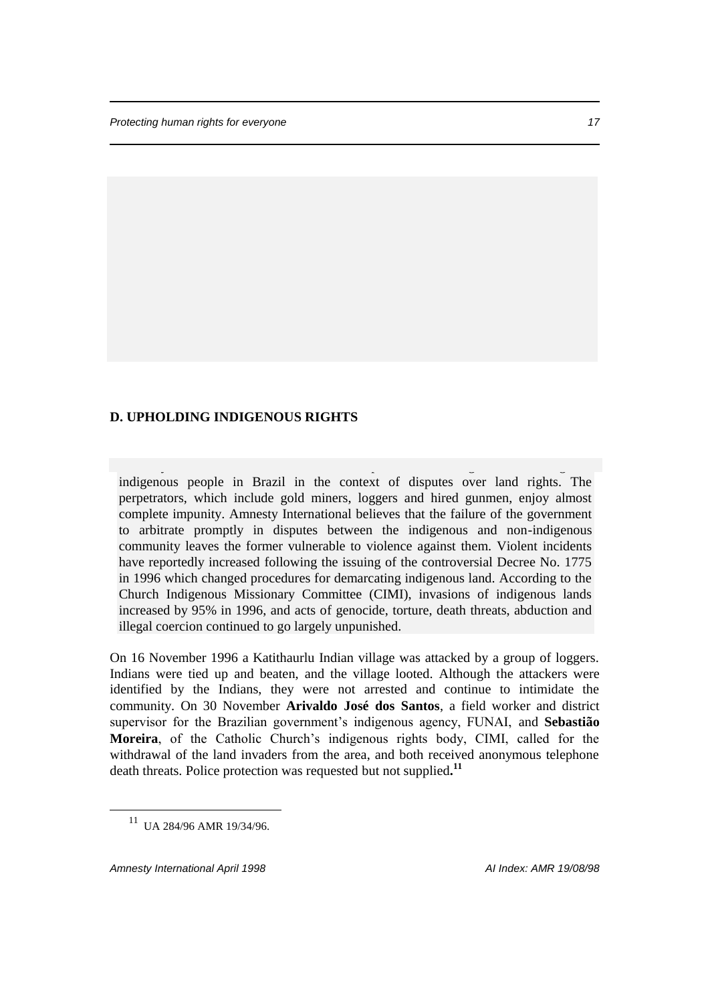## **D. UPHOLDING INDIGENOUS RIGHTS**

indigenous people in Brazil in the context of disputes over land rights. The perpetrators, which include gold miners, loggers and hired gunmen, enjoy almost complete impunity. Amnesty International believes that the failure of the government to arbitrate promptly in disputes between the indigenous and non-indigenous community leaves the former vulnerable to violence against them. Violent incidents have reportedly increased following the issuing of the controversial Decree No. 1775 in 1996 which changed procedures for demarcating indigenous land. According to the Church Indigenous Missionary Committee (CIMI), invasions of indigenous lands increased by 95% in 1996, and acts of genocide, torture, death threats, abduction and illegal coercion continued to go largely unpunished.

Amnesty International continues to receive reports of human rights violations against

On 16 November 1996 a Katithaurlu Indian village was attacked by a group of loggers. Indians were tied up and beaten, and the village looted. Although the attackers were identified by the Indians, they were not arrested and continue to intimidate the community. On 30 November **Arivaldo José dos Santos**, a field worker and district supervisor for the Brazilian government's indigenous agency, FUNAI, and **Sebastião Moreira**, of the Catholic Church's indigenous rights body, CIMI, called for the withdrawal of the land invaders from the area, and both received anonymous telephone death threats. Police protection was requested but not supplied**. 11**

<sup>11</sup> UA 284/96 AMR 19/34/96.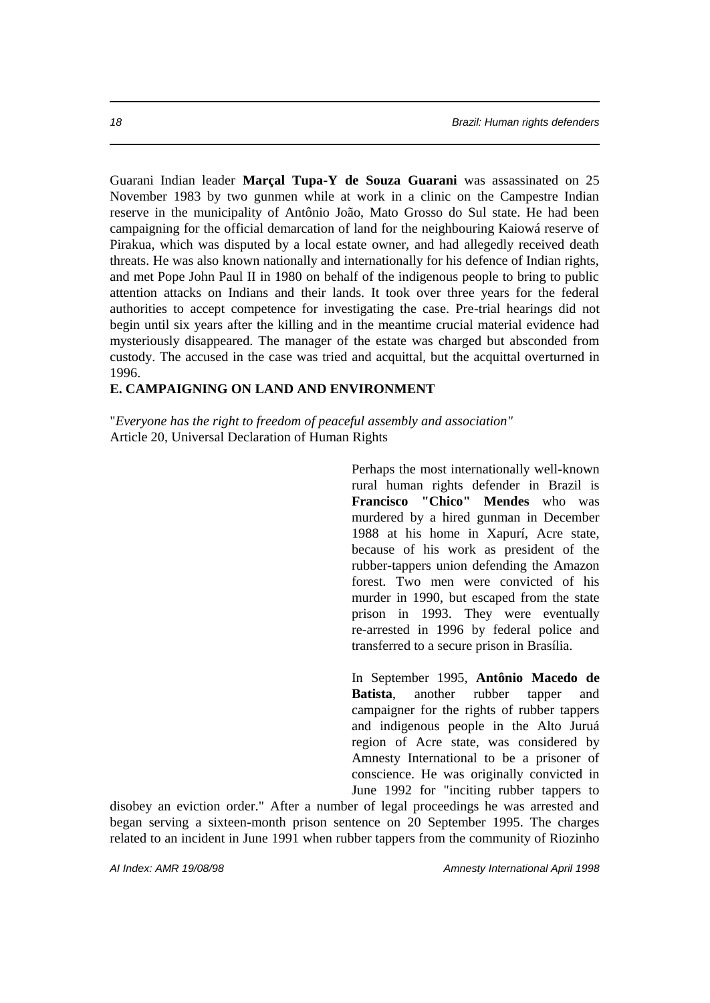Guarani Indian leader **Marçal Tupa-Y de Souza Guarani** was assassinated on 25 November 1983 by two gunmen while at work in a clinic on the Campestre Indian reserve in the municipality of Antônio João, Mato Grosso do Sul state. He had been campaigning for the official demarcation of land for the neighbouring Kaiowá reserve of Pirakua, which was disputed by a local estate owner, and had allegedly received death threats. He was also known nationally and internationally for his defence of Indian rights, and met Pope John Paul II in 1980 on behalf of the indigenous people to bring to public attention attacks on Indians and their lands. It took over three years for the federal authorities to accept competence for investigating the case. Pre-trial hearings did not begin until six years after the killing and in the meantime crucial material evidence had mysteriously disappeared. The manager of the estate was charged but absconded from custody. The accused in the case was tried and acquittal, but the acquittal overturned in 1996.

## **E. CAMPAIGNING ON LAND AND ENVIRONMENT**

"*Everyone has the right to freedom of peaceful assembly and association"* Article 20, Universal Declaration of Human Rights

> Perhaps the most internationally well-known rural human rights defender in Brazil is **Francisco "Chico" Mendes** who was murdered by a hired gunman in December 1988 at his home in Xapurí, Acre state, because of his work as president of the rubber-tappers union defending the Amazon forest. Two men were convicted of his murder in 1990, but escaped from the state prison in 1993. They were eventually re-arrested in 1996 by federal police and transferred to a secure prison in Brasília.

> In September 1995, **Antônio Macedo de Batista**, another rubber tapper and campaigner for the rights of rubber tappers and indigenous people in the Alto Juruá region of Acre state, was considered by Amnesty International to be a prisoner of conscience. He was originally convicted in June 1992 for "inciting rubber tappers to

disobey an eviction order." After a number of legal proceedings he was arrested and began serving a sixteen-month prison sentence on 20 September 1995. The charges related to an incident in June 1991 when rubber tappers from the community of Riozinho

*AI Index: AMR 19/08/98 Amnesty International April 1998*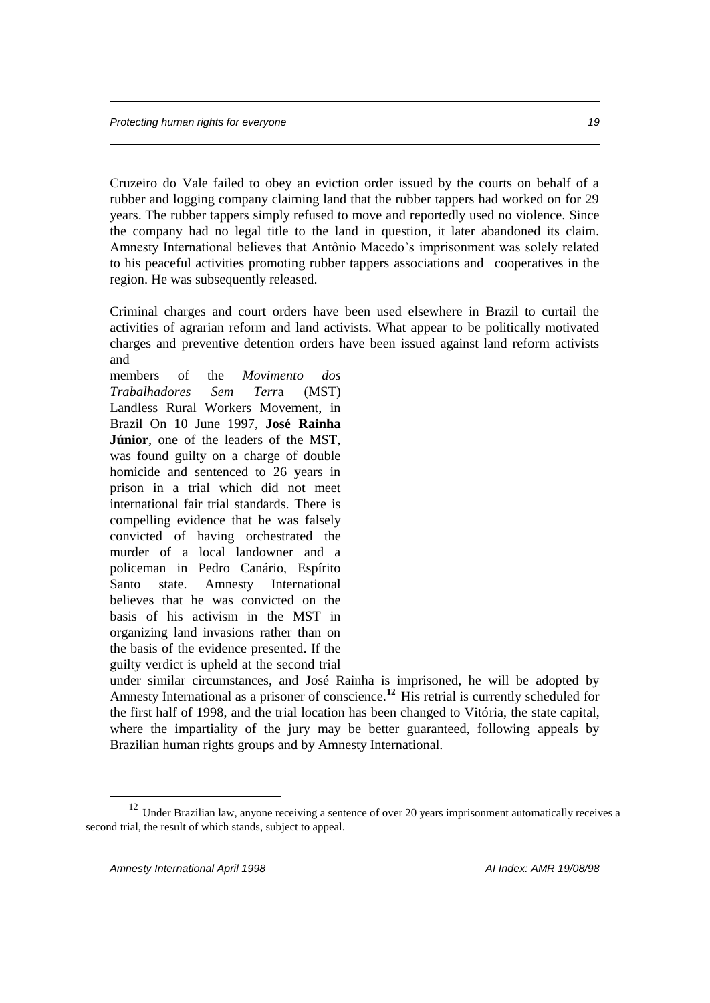Cruzeiro do Vale failed to obey an eviction order issued by the courts on behalf of a rubber and logging company claiming land that the rubber tappers had worked on for 29 years. The rubber tappers simply refused to move and reportedly used no violence. Since the company had no legal title to the land in question, it later abandoned its claim. Amnesty International believes that Antônio Macedo's imprisonment was solely related to his peaceful activities promoting rubber tappers associations and cooperatives in the region. He was subsequently released.

Criminal charges and court orders have been used elsewhere in Brazil to curtail the activities of agrarian reform and land activists. What appear to be politically motivated charges and preventive detention orders have been issued against land reform activists and

members of the *Movimento dos Trabalhadores Sem Terr*a (MST) Landless Rural Workers Movement, in Brazil On 10 June 1997, **José Rainha Júnior**, one of the leaders of the MST, was found guilty on a charge of double homicide and sentenced to 26 years in prison in a trial which did not meet international fair trial standards. There is compelling evidence that he was falsely convicted of having orchestrated the murder of a local landowner and a policeman in Pedro Canário, Espírito Santo state. Amnesty International believes that he was convicted on the basis of his activism in the MST in organizing land invasions rather than on the basis of the evidence presented. If the guilty verdict is upheld at the second trial

under similar circumstances, and José Rainha is imprisoned, he will be adopted by Amnesty International as a prisoner of conscience.**<sup>12</sup>** His retrial is currently scheduled for the first half of 1998, and the trial location has been changed to Vitória, the state capital, where the impartiality of the jury may be better guaranteed, following appeals by Brazilian human rights groups and by Amnesty International.

<sup>&</sup>lt;sup>12</sup> Under Brazilian law, anyone receiving a sentence of over 20 years imprisonment automatically receives a second trial, the result of which stands, subject to appeal.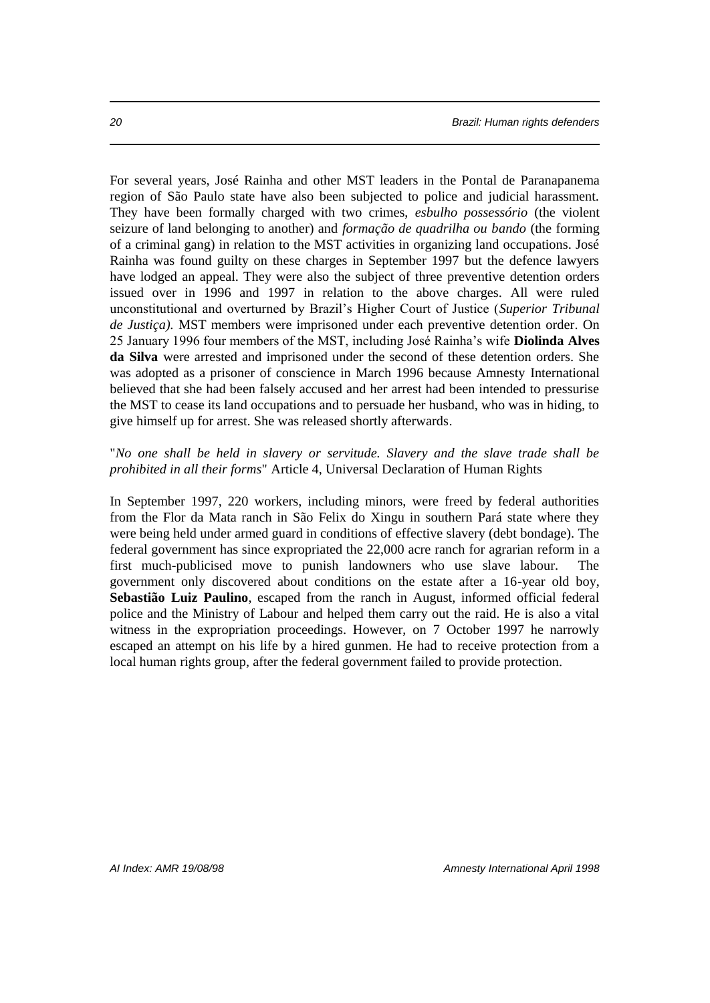For several years, José Rainha and other MST leaders in the Pontal de Paranapanema region of São Paulo state have also been subjected to police and judicial harassment. They have been formally charged with two crimes, *esbulho possessório* (the violent seizure of land belonging to another) and *formação de quadrilha ou bando* (the forming of a criminal gang) in relation to the MST activities in organizing land occupations. José Rainha was found guilty on these charges in September 1997 but the defence lawyers have lodged an appeal. They were also the subject of three preventive detention orders issued over in 1996 and 1997 in relation to the above charges. All were ruled unconstitutional and overturned by Brazil's Higher Court of Justice (*Superior Tribunal de Justiça).* MST members were imprisoned under each preventive detention order. On 25 January 1996 four members of the MST, including José Rainha's wife **Diolinda Alves da Silva** were arrested and imprisoned under the second of these detention orders. She was adopted as a prisoner of conscience in March 1996 because Amnesty International believed that she had been falsely accused and her arrest had been intended to pressurise the MST to cease its land occupations and to persuade her husband, who was in hiding, to give himself up for arrest. She was released shortly afterwards.

## "*No one shall be held in slavery or servitude. Slavery and the slave trade shall be prohibited in all their forms*" Article 4, Universal Declaration of Human Rights

In September 1997, 220 workers, including minors, were freed by federal authorities from the Flor da Mata ranch in São Felix do Xingu in southern Pará state where they were being held under armed guard in conditions of effective slavery (debt bondage). The federal government has since expropriated the 22,000 acre ranch for agrarian reform in a first much-publicised move to punish landowners who use slave labour. The government only discovered about conditions on the estate after a 16-year old boy, **Sebastião Luiz Paulino**, escaped from the ranch in August, informed official federal police and the Ministry of Labour and helped them carry out the raid. He is also a vital witness in the expropriation proceedings. However, on 7 October 1997 he narrowly escaped an attempt on his life by a hired gunmen. He had to receive protection from a local human rights group, after the federal government failed to provide protection.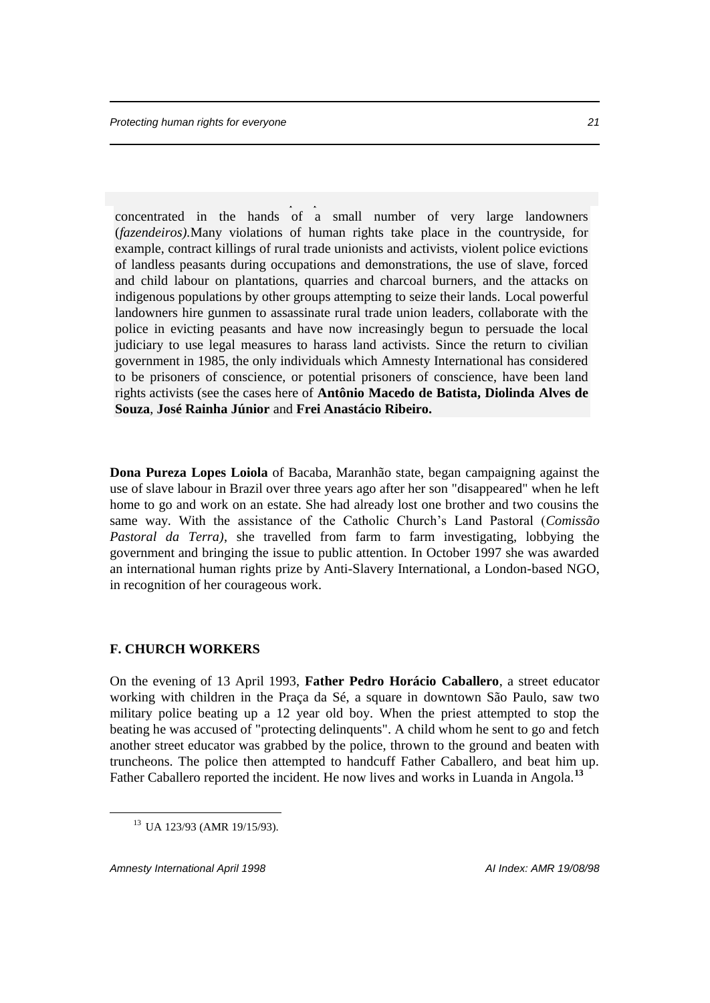concentrated in the hands of a small number of very large landowners (*fazendeiros).*Many violations of human rights take place in the countryside, for example, contract killings of rural trade unionists and activists, violent police evictions of landless peasants during occupations and demonstrations, the use of slave, forced and child labour on plantations, quarries and charcoal burners, and the attacks on indigenous populations by other groups attempting to seize their lands. Local powerful landowners hire gunmen to assassinate rural trade union leaders, collaborate with the police in evicting peasants and have now increasingly begun to persuade the local judiciary to use legal measures to harass land activists. Since the return to civilian government in 1985, the only individuals which Amnesty International has considered to be prisoners of conscience, or potential prisoners of conscience, have been land rights activists (see the cases here of **Antônio Macedo de Batista, Diolinda Alves de Souza**, **José Rainha Júnior** and **Frei Anastácio Ribeiro.**

Brazil has one of the most unequal patterns of land distribution in the world. Land is

**Dona Pureza Lopes Loiola** of Bacaba, Maranhão state, began campaigning against the use of slave labour in Brazil over three years ago after her son "disappeared" when he left home to go and work on an estate. She had already lost one brother and two cousins the same way. With the assistance of the Catholic Church's Land Pastoral (*Comissão Pastoral da Terra)*, she travelled from farm to farm investigating, lobbying the government and bringing the issue to public attention. In October 1997 she was awarded an international human rights prize by Anti-Slavery International, a London-based NGO, in recognition of her courageous work.

#### **F. CHURCH WORKERS**

On the evening of 13 April 1993, **Father Pedro Horácio Caballero**, a street educator working with children in the Praça da Sé, a square in downtown São Paulo, saw two military police beating up a 12 year old boy. When the priest attempted to stop the beating he was accused of "protecting delinquents". A child whom he sent to go and fetch another street educator was grabbed by the police, thrown to the ground and beaten with truncheons. The police then attempted to handcuff Father Caballero, and beat him up. Father Caballero reported the incident. He now lives and works in Luanda in Angola.**<sup>13</sup>**

<sup>13</sup> UA 123/93 (AMR 19/15/93).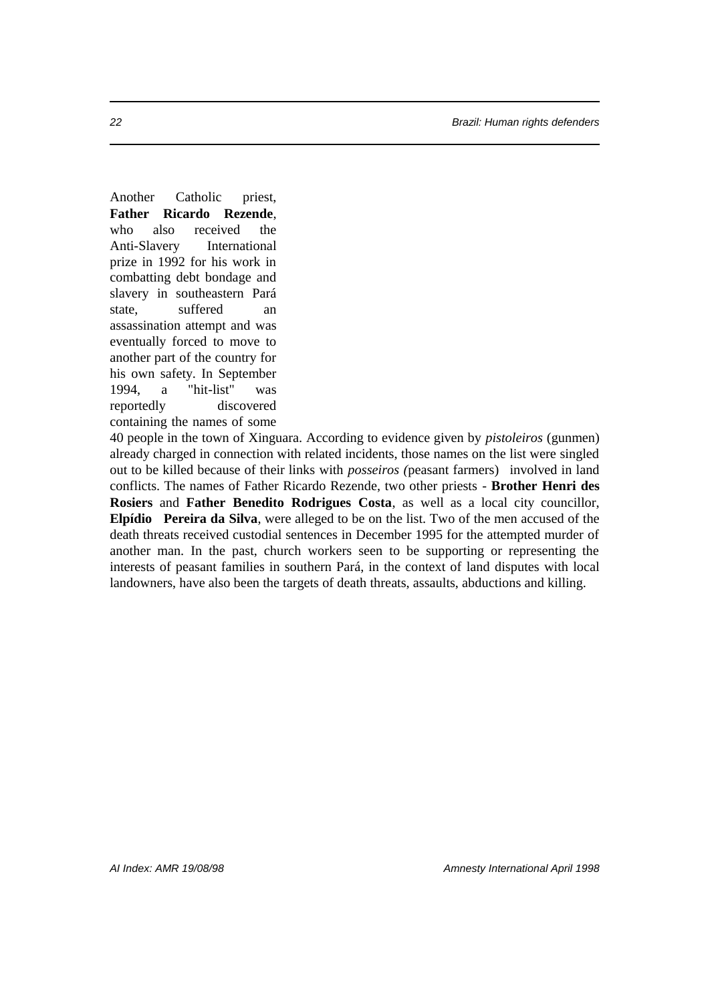*22 Brazil: Human rights defenders*

Another Catholic priest, **Father Ricardo Rezende**, who also received the Anti-Slavery International prize in 1992 for his work in combatting debt bondage and slavery in southeastern Pará state, suffered an assassination attempt and was eventually forced to move to another part of the country for his own safety. In September 1994, a "hit-list" was reportedly discovered containing the names of some

40 people in the town of Xinguara. According to evidence given by *pistoleiros* (gunmen) already charged in connection with related incidents, those names on the list were singled out to be killed because of their links with *posseiros (*peasant farmers) involved in land conflicts. The names of Father Ricardo Rezende, two other priests - **Brother Henri des Rosiers** and **Father Benedito Rodrigues Costa**, as well as a local city councillor, **Elpídio Pereira da Silva**, were alleged to be on the list. Two of the men accused of the death threats received custodial sentences in December 1995 for the attempted murder of another man. In the past, church workers seen to be supporting or representing the interests of peasant families in southern Pará, in the context of land disputes with local landowners, have also been the targets of death threats, assaults, abductions and killing.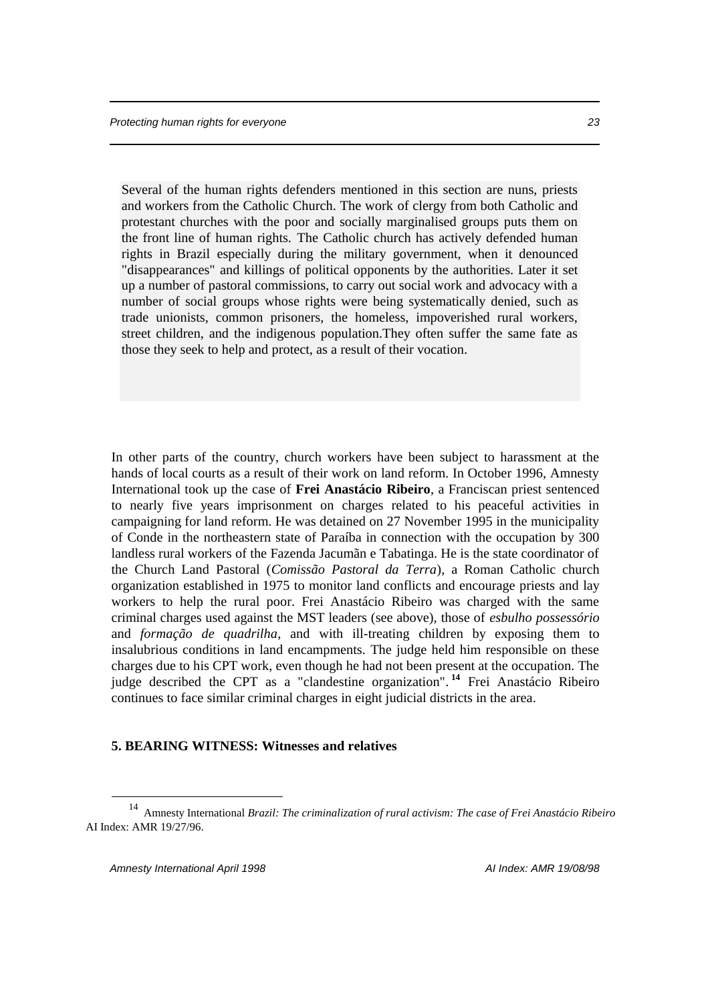Several of the human rights defenders mentioned in this section are nuns, priests and workers from the Catholic Church. The work of clergy from both Catholic and protestant churches with the poor and socially marginalised groups puts them on the front line of human rights. The Catholic church has actively defended human rights in Brazil especially during the military government, when it denounced "disappearances" and killings of political opponents by the authorities. Later it set up a number of pastoral commissions, to carry out social work and advocacy with a number of social groups whose rights were being systematically denied, such as trade unionists, common prisoners, the homeless, impoverished rural workers, street children, and the indigenous population.They often suffer the same fate as those they seek to help and protect, as a result of their vocation.

In other parts of the country, church workers have been subject to harassment at the hands of local courts as a result of their work on land reform. In October 1996, Amnesty International took up the case of **Frei Anastácio Ribeiro**, a Franciscan priest sentenced to nearly five years imprisonment on charges related to his peaceful activities in campaigning for land reform. He was detained on 27 November 1995 in the municipality of Conde in the northeastern state of Paraíba in connection with the occupation by 300 landless rural workers of the Fazenda Jacumãn e Tabatinga. He is the state coordinator of the Church Land Pastoral (*Comissão Pastoral da Terra*), a Roman Catholic church organization established in 1975 to monitor land conflicts and encourage priests and lay workers to help the rural poor. Frei Anastácio Ribeiro was charged with the same criminal charges used against the MST leaders (see above), those of *esbulho possessório* and *formação de quadrilha*, and with ill-treating children by exposing them to insalubrious conditions in land encampments. The judge held him responsible on these charges due to his CPT work, even though he had not been present at the occupation. The judge described the CPT as a "clandestine organization". **<sup>14</sup>** Frei Anastácio Ribeiro continues to face similar criminal charges in eight judicial districts in the area.

#### **5. BEARING WITNESS: Witnesses and relatives**

*Amnesty International April 1998 AI Index: AMR 19/08/98*

<sup>14</sup> Amnesty International *Brazil: The criminalization of rural activism: The case of Frei Anastácio Ribeiro* AI Index: AMR 19/27/96.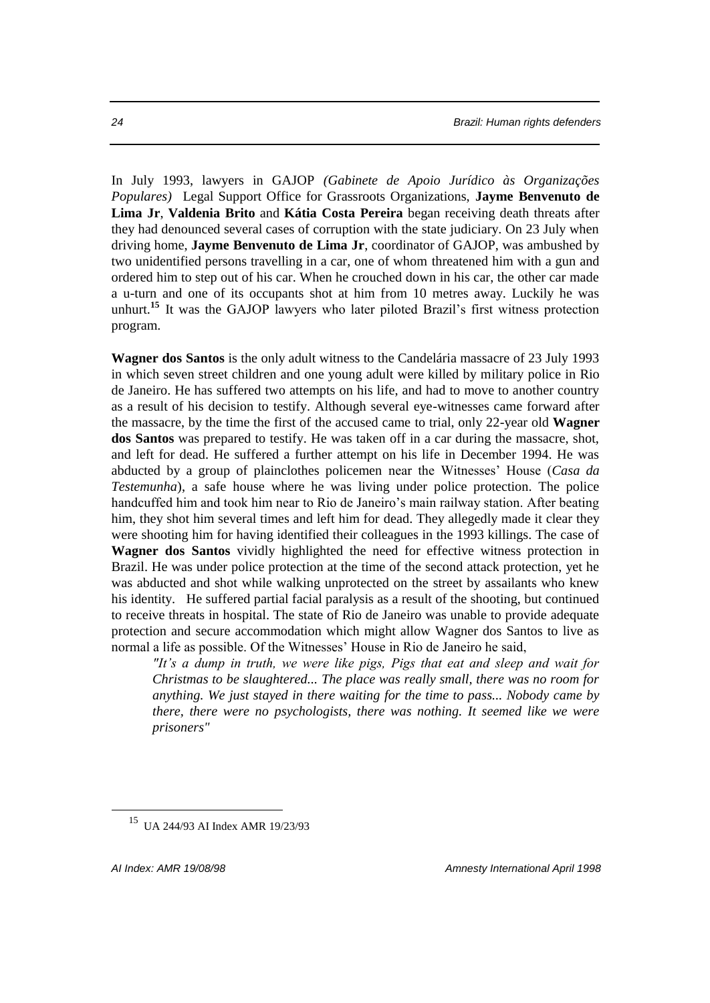In July 1993, lawyers in GAJOP *(Gabinete de Apoio Jurídico às Organizações Populares)* Legal Support Office for Grassroots Organizations, **Jayme Benvenuto de Lima Jr**, **Valdenia Brito** and **Kátia Costa Pereira** began receiving death threats after they had denounced several cases of corruption with the state judiciary. On 23 July when driving home, **Jayme Benvenuto de Lima Jr**, coordinator of GAJOP, was ambushed by two unidentified persons travelling in a car, one of whom threatened him with a gun and ordered him to step out of his car. When he crouched down in his car, the other car made a u-turn and one of its occupants shot at him from 10 metres away. Luckily he was unhurt.<sup>15</sup> It was the GAJOP lawyers who later piloted Brazil's first witness protection program.

**Wagner dos Santos** is the only adult witness to the Candelária massacre of 23 July 1993 in which seven street children and one young adult were killed by military police in Rio de Janeiro. He has suffered two attempts on his life, and had to move to another country as a result of his decision to testify. Although several eye-witnesses came forward after the massacre, by the time the first of the accused came to trial, only 22-year old **Wagner dos Santos** was prepared to testify. He was taken off in a car during the massacre, shot, and left for dead. He suffered a further attempt on his life in December 1994. He was abducted by a group of plainclothes policemen near the Witnesses' House (*Casa da Testemunha*), a safe house where he was living under police protection. The police handcuffed him and took him near to Rio de Janeiro's main railway station. After beating him, they shot him several times and left him for dead. They allegedly made it clear they were shooting him for having identified their colleagues in the 1993 killings. The case of **Wagner dos Santos** vividly highlighted the need for effective witness protection in Brazil. He was under police protection at the time of the second attack protection, yet he was abducted and shot while walking unprotected on the street by assailants who knew his identity. He suffered partial facial paralysis as a result of the shooting, but continued to receive threats in hospital. The state of Rio de Janeiro was unable to provide adequate protection and secure accommodation which might allow Wagner dos Santos to live as normal a life as possible. Of the Witnesses' House in Rio de Janeiro he said,

*"It's a dump in truth, we were like pigs, Pigs that eat and sleep and wait for Christmas to be slaughtered... The place was really small, there was no room for anything. We just stayed in there waiting for the time to pass... Nobody came by there, there were no psychologists, there was nothing. It seemed like we were prisoners"*

<sup>15</sup> UA 244/93 AI Index AMR 19/23/93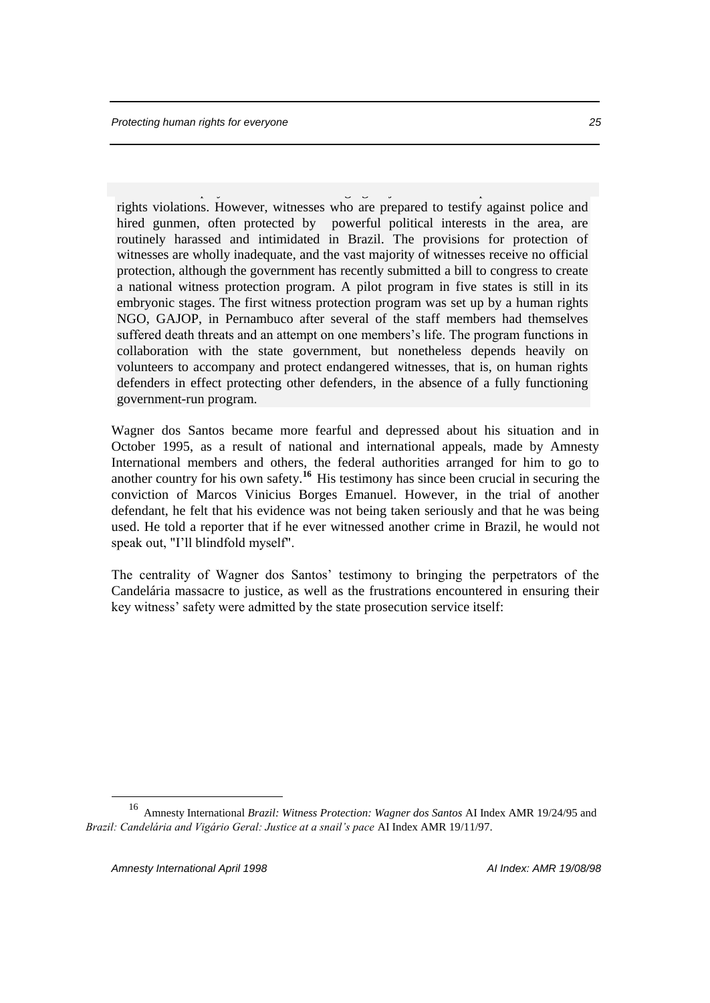rights violations. However, witnesses who are prepared to testify against police and hired gunmen, often protected by powerful political interests in the area, are routinely harassed and intimidated in Brazil. The provisions for protection of witnesses are wholly inadequate, and the vast majority of witnesses receive no official protection, although the government has recently submitted a bill to congress to create a national witness protection program. A pilot program in five states is still in its embryonic stages. The first witness protection program was set up by a human rights NGO, GAJOP, in Pernambuco after several of the staff members had themselves suffered death threats and an attempt on one members's life. The program functions in collaboration with the state government, but nonetheless depends heavily on volunteers to accompany and protect endangered witnesses, that is, on human rights defenders in effect protecting other defenders, in the absence of a fully functioning government-run program.

Witnesses can play a crucial role in bringing to justice those responsible for human

Wagner dos Santos became more fearful and depressed about his situation and in October 1995, as a result of national and international appeals, made by Amnesty International members and others, the federal authorities arranged for him to go to another country for his own safety.**<sup>16</sup>** His testimony has since been crucial in securing the conviction of Marcos Vinicius Borges Emanuel. However, in the trial of another defendant, he felt that his evidence was not being taken seriously and that he was being used. He told a reporter that if he ever witnessed another crime in Brazil, he would not speak out, "I'll blindfold myself".

The centrality of Wagner dos Santos' testimony to bringing the perpetrators of the Candelária massacre to justice, as well as the frustrations encountered in ensuring their key witness' safety were admitted by the state prosecution service itself:

*Amnesty International April 1998 AI Index: AMR 19/08/98*

<sup>16</sup> Amnesty International *Brazil: Witness Protection: Wagner dos Santos* AI Index AMR 19/24/95 and *Brazil: Candelária and Vigário Geral: Justice at a snail's pace* AI Index AMR 19/11/97.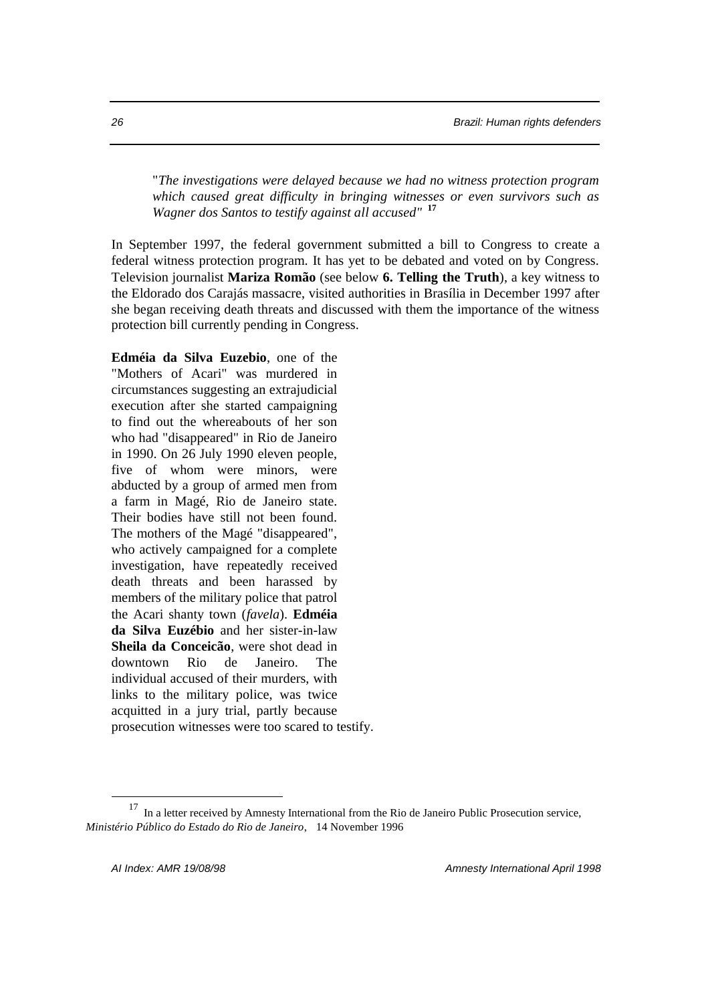"*The investigations were delayed because we had no witness protection program which caused great difficulty in bringing witnesses or even survivors such as Wagner dos Santos to testify against all accused"* **<sup>17</sup>**

In September 1997, the federal government submitted a bill to Congress to create a federal witness protection program. It has yet to be debated and voted on by Congress. Television journalist **Mariza Romão** (see below **6. Telling the Truth**), a key witness to the Eldorado dos Carajás massacre, visited authorities in Brasília in December 1997 after she began receiving death threats and discussed with them the importance of the witness protection bill currently pending in Congress.

**Edméia da Silva Euzebio**, one of the "Mothers of Acari" was murdered in circumstances suggesting an extrajudicial execution after she started campaigning to find out the whereabouts of her son who had "disappeared" in Rio de Janeiro in 1990. On 26 July 1990 eleven people, five of whom were minors, were abducted by a group of armed men from a farm in Magé, Rio de Janeiro state. Their bodies have still not been found. The mothers of the Magé "disappeared", who actively campaigned for a complete investigation, have repeatedly received death threats and been harassed by members of the military police that patrol the Acari shanty town (*favela*). **Edméia da Silva Euzébio** and her sister-in-law **Sheila da Conceicão**, were shot dead in downtown Rio de Janeiro. The individual accused of their murders, with links to the military police, was twice acquitted in a jury trial, partly because prosecution witnesses were too scared to testify.

<sup>17</sup> In a letter received by Amnesty International from the Rio de Janeiro Public Prosecution service, *Ministério Público do Estado do Rio de Janeiro*, 14 November 1996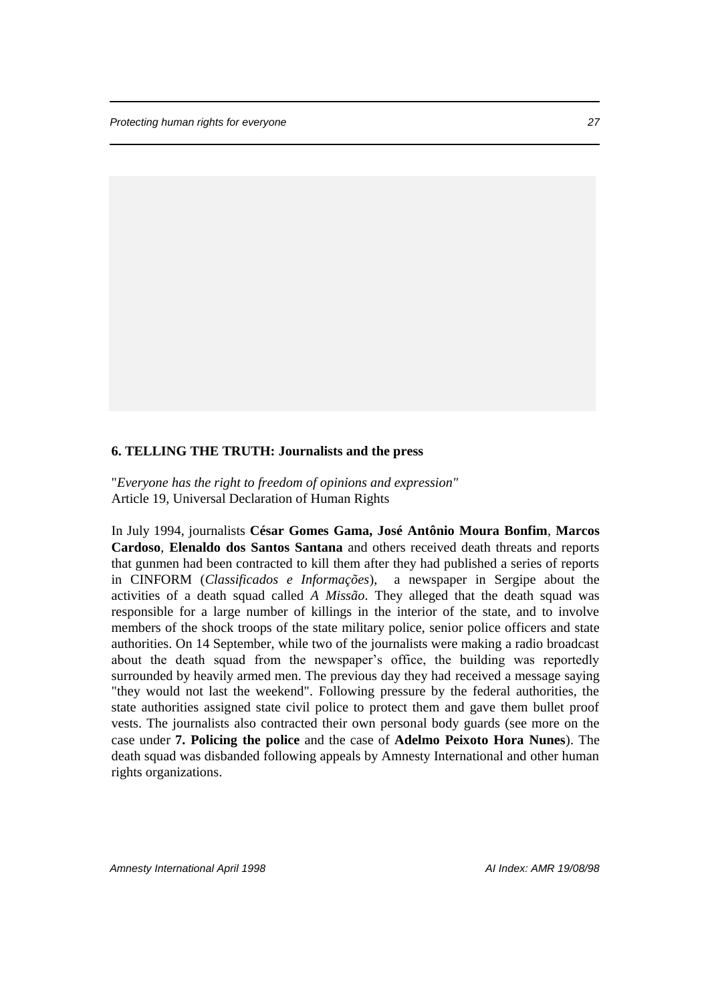## **6. TELLING THE TRUTH: Journalists and the press**

"*Everyone has the right to freedom of opinions and expression"* Article 19, Universal Declaration of Human Rights

In July 1994, journalists **César Gomes Gama, José Antônio Moura Bonfim**, **Marcos Cardoso**, **Elenaldo dos Santos Santana** and others received death threats and reports that gunmen had been contracted to kill them after they had published a series of reports in CINFORM (*Classificados e Informações*), a newspaper in Sergipe about the activities of a death squad called *A Missão*. They alleged that the death squad was responsible for a large number of killings in the interior of the state, and to involve members of the shock troops of the state military police, senior police officers and state authorities. On 14 September, while two of the journalists were making a radio broadcast about the death squad from the newspaper's office, the building was reportedly surrounded by heavily armed men. The previous day they had received a message saying "they would not last the weekend". Following pressure by the federal authorities, the state authorities assigned state civil police to protect them and gave them bullet proof vests. The journalists also contracted their own personal body guards (see more on the case under **7. Policing the police** and the case of **Adelmo Peixoto Hora Nunes**). The death squad was disbanded following appeals by Amnesty International and other human rights organizations.

*Amnesty International April 1998 AI Index: AMR 19/08/98*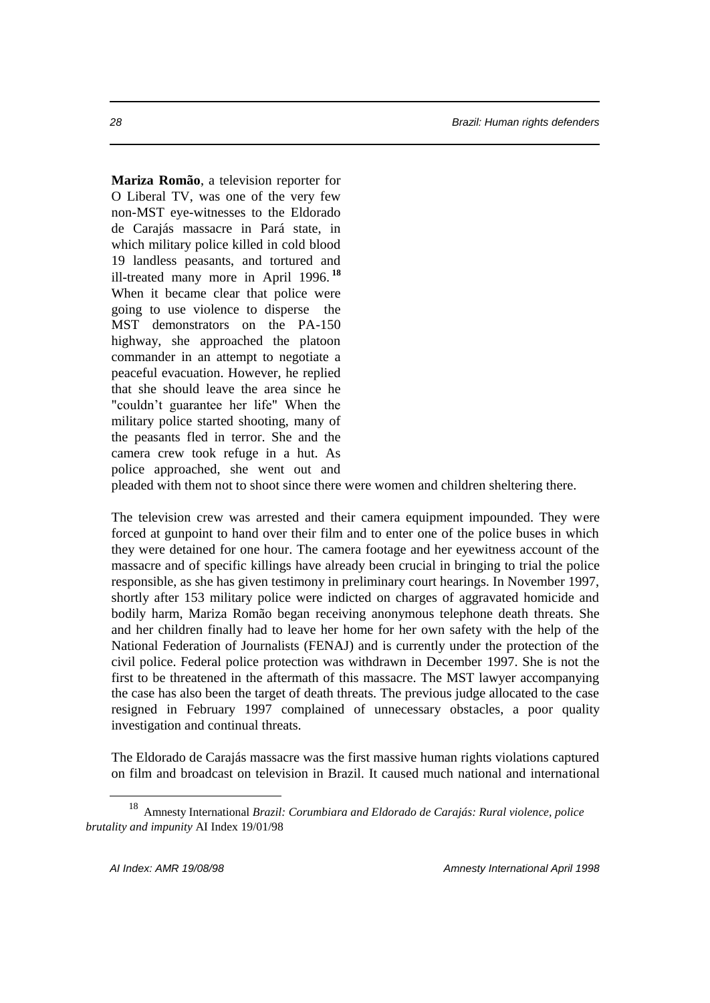*28 Brazil: Human rights defenders*

**Mariza Romão**, a television reporter for O Liberal TV, was one of the very few non-MST eye-witnesses to the Eldorado de Carajás massacre in Pará state, in which military police killed in cold blood 19 landless peasants, and tortured and ill-treated many more in April 1996. **<sup>18</sup>** When it became clear that police were going to use violence to disperse the MST demonstrators on the PA-150 highway, she approached the platoon commander in an attempt to negotiate a peaceful evacuation. However, he replied that she should leave the area since he "couldn't guarantee her life" When the military police started shooting, many of the peasants fled in terror. She and the camera crew took refuge in a hut. As police approached, she went out and pleaded with them not to shoot since there were women and children sheltering there.

The television crew was arrested and their camera equipment impounded. They were forced at gunpoint to hand over their film and to enter one of the police buses in which they were detained for one hour. The camera footage and her eyewitness account of the massacre and of specific killings have already been crucial in bringing to trial the police responsible, as she has given testimony in preliminary court hearings. In November 1997, shortly after 153 military police were indicted on charges of aggravated homicide and bodily harm, Mariza Romão began receiving anonymous telephone death threats. She and her children finally had to leave her home for her own safety with the help of the National Federation of Journalists (FENAJ) and is currently under the protection of the civil police. Federal police protection was withdrawn in December 1997. She is not the first to be threatened in the aftermath of this massacre. The MST lawyer accompanying the case has also been the target of death threats. The previous judge allocated to the case resigned in February 1997 complained of unnecessary obstacles, a poor quality investigation and continual threats.

The Eldorado de Carajás massacre was the first massive human rights violations captured on film and broadcast on television in Brazil. It caused much national and international

<sup>18</sup> Amnesty International *Brazil: Corumbiara and Eldorado de Carajás: Rural violence, police brutality and impunity* AI Index 19/01/98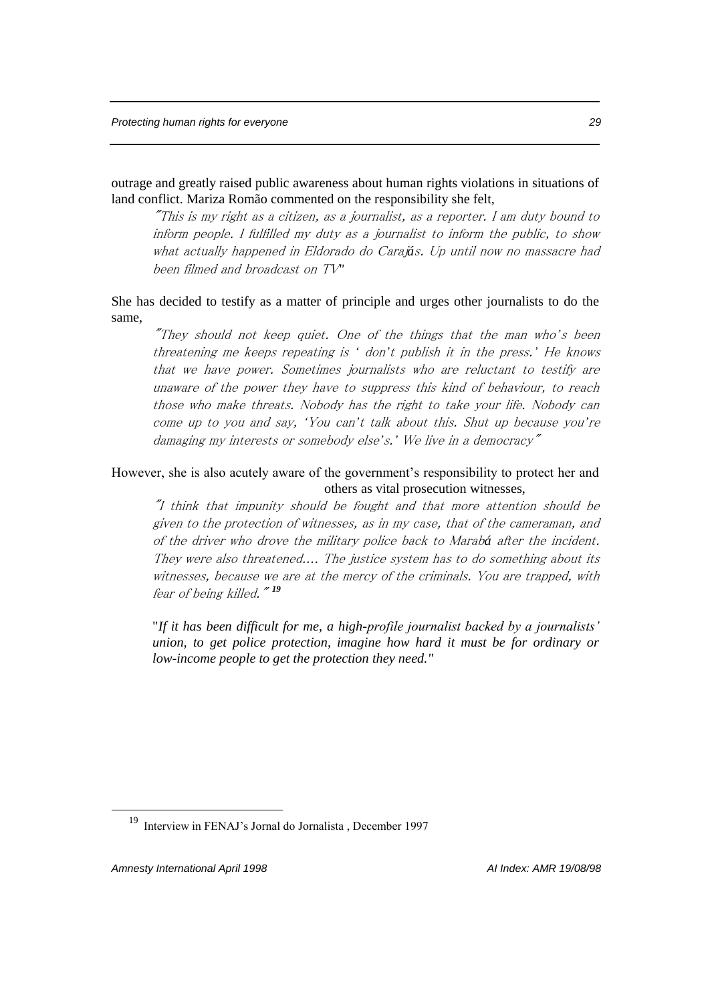outrage and greatly raised public awareness about human rights violations in situations of land conflict. Mariza Romão commented on the responsibility she felt,

"This is my right as a citizen, as a journalist, as a reporter. I am duty bound to inform people. I fulfilled my duty as a journalist to inform the public, to show what actually happened in Eldorado do Caraj*á*s. Up until now no massacre had been filmed and broadcast on TV*"*

She has decided to testify as a matter of principle and urges other journalists to do the same,

"They should not keep quiet. One of the things that the man who*'*s been threatening me keeps repeating is *'* don*'*t publish it in the press.*'* He knows that we have power. Sometimes journalists who are reluctant to testify are unaware of the power they have to suppress this kind of behaviour, to reach those who make threats. Nobody has the right to take your life. Nobody can come up to you and say, *'*You can*'*t talk about this. Shut up because you*'*re damaging my interests or somebody else*'*s.*'* We live in a democracy"

## However, she is also acutely aware of the government's responsibility to protect her and others as vital prosecution witnesses,

"I think that impunity should be fought and that more attention should be given to the protection of witnesses, as in my case, that of the cameraman, and of the driver who drove the military police back to Marab*á* after the incident. They were also threatened.... The justice system has to do something about its witnesses, because we are at the mercy of the criminals. You are trapped, with fear of being killed." *19*

"*If it has been difficult for me, a high-profile journalist backed by a journalists' union, to get police protection, imagine how hard it must be for ordinary or low-income people to get the protection they need."*

<sup>&</sup>lt;sup>19</sup> Interview in FENAJ's Jornal do Jornalista, December 1997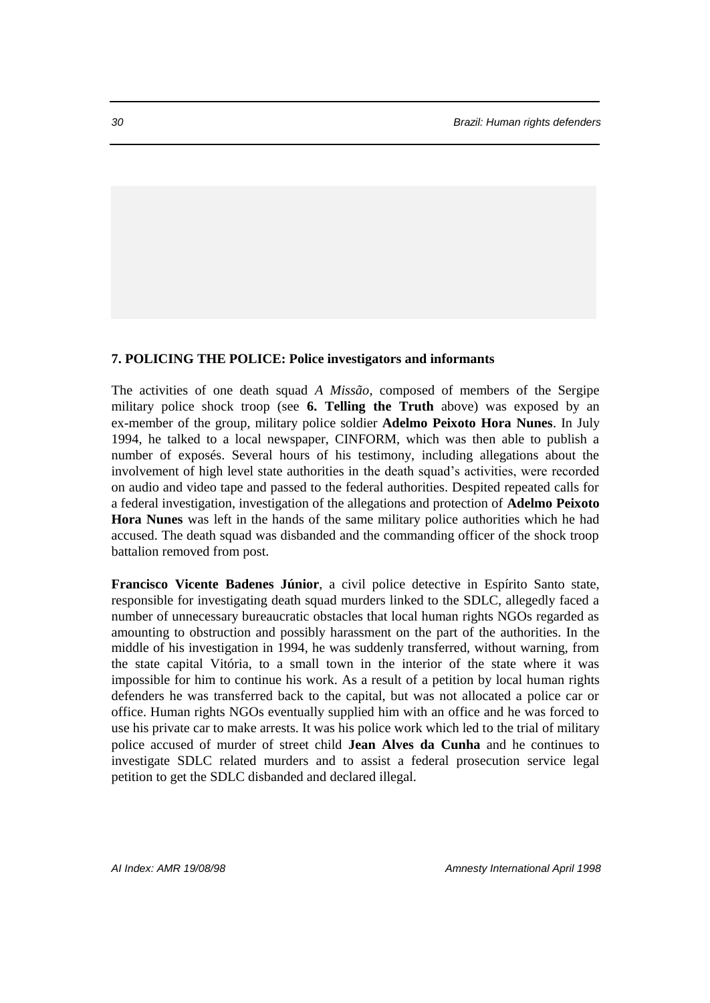#### **7. POLICING THE POLICE: Police investigators and informants**

The activities of one death squad *A Missão*, composed of members of the Sergipe military police shock troop (see **6. Telling the Truth** above) was exposed by an ex-member of the group, military police soldier **Adelmo Peixoto Hora Nunes**. In July 1994, he talked to a local newspaper, CINFORM, which was then able to publish a number of exposés. Several hours of his testimony, including allegations about the involvement of high level state authorities in the death squad's activities, were recorded on audio and video tape and passed to the federal authorities. Despited repeated calls for a federal investigation, investigation of the allegations and protection of **Adelmo Peixoto Hora Nunes** was left in the hands of the same military police authorities which he had accused. The death squad was disbanded and the commanding officer of the shock troop battalion removed from post.

**Francisco Vicente Badenes Júnior**, a civil police detective in Espírito Santo state, responsible for investigating death squad murders linked to the SDLC, allegedly faced a number of unnecessary bureaucratic obstacles that local human rights NGOs regarded as amounting to obstruction and possibly harassment on the part of the authorities. In the middle of his investigation in 1994, he was suddenly transferred, without warning, from the state capital Vitória, to a small town in the interior of the state where it was impossible for him to continue his work. As a result of a petition by local human rights defenders he was transferred back to the capital, but was not allocated a police car or office. Human rights NGOs eventually supplied him with an office and he was forced to use his private car to make arrests. It was his police work which led to the trial of military police accused of murder of street child **Jean Alves da Cunha** and he continues to investigate SDLC related murders and to assist a federal prosecution service legal petition to get the SDLC disbanded and declared illegal.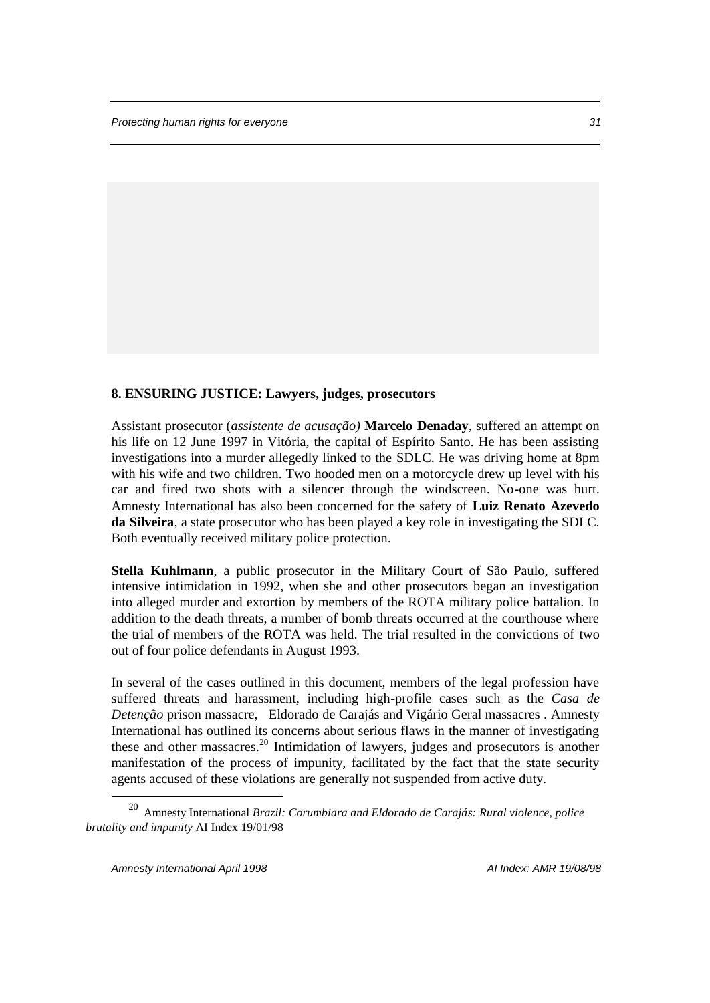#### **8. ENSURING JUSTICE: Lawyers, judges, prosecutors**

Assistant prosecutor (*assistente de acusação)* **Marcelo Denaday**, suffered an attempt on his life on 12 June 1997 in Vitória, the capital of Espírito Santo. He has been assisting investigations into a murder allegedly linked to the SDLC. He was driving home at 8pm with his wife and two children. Two hooded men on a motorcycle drew up level with his car and fired two shots with a silencer through the windscreen. No-one was hurt. Amnesty International has also been concerned for the safety of **Luiz Renato Azevedo da Silveira**, a state prosecutor who has been played a key role in investigating the SDLC. Both eventually received military police protection.

**Stella Kuhlmann**, a public prosecutor in the Military Court of São Paulo, suffered intensive intimidation in 1992, when she and other prosecutors began an investigation into alleged murder and extortion by members of the ROTA military police battalion. In addition to the death threats, a number of bomb threats occurred at the courthouse where the trial of members of the ROTA was held. The trial resulted in the convictions of two out of four police defendants in August 1993.

In several of the cases outlined in this document, members of the legal profession have suffered threats and harassment, including high-profile cases such as the *Casa de Detenção* prison massacre, Eldorado de Carajás and Vigário Geral massacres . Amnesty International has outlined its concerns about serious flaws in the manner of investigating these and other massacres.<sup>20</sup> Intimidation of lawyers, judges and prosecutors is another manifestation of the process of impunity, facilitated by the fact that the state security agents accused of these violations are generally not suspended from active duty.

<sup>20</sup> Amnesty International *Brazil: Corumbiara and Eldorado de Carajás: Rural violence, police brutality and impunity* AI Index 19/01/98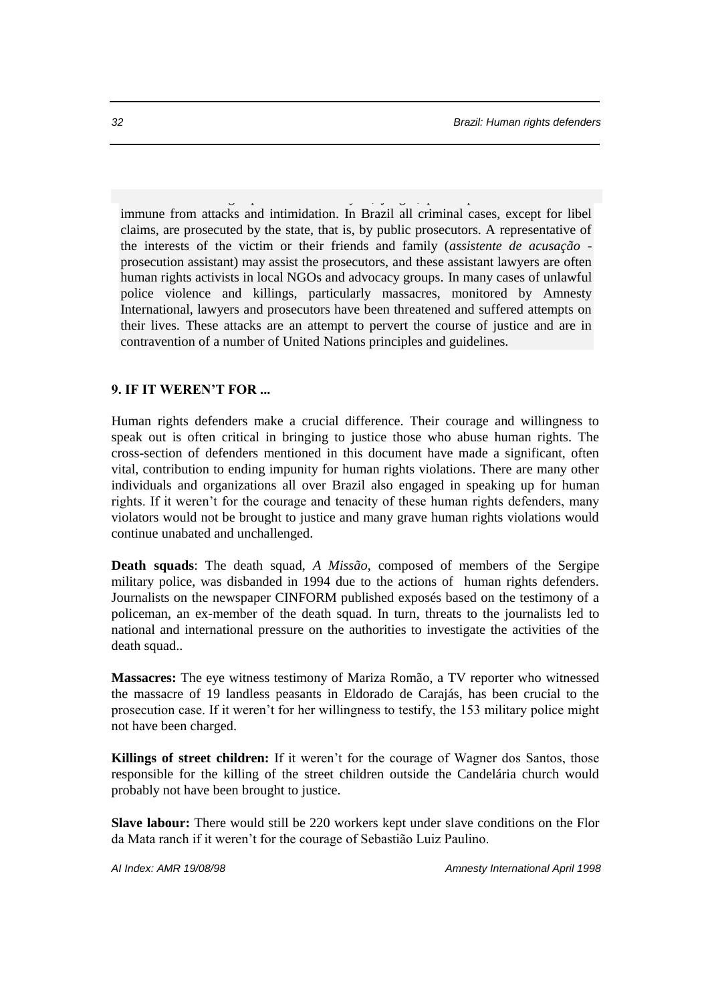Members of the legal profession -- lawyers, judges, public prosecutors -- are not immune from attacks and intimidation. In Brazil all criminal cases, except for libel claims, are prosecuted by the state, that is, by public prosecutors. A representative of the interests of the victim or their friends and family (*assistente de acusação*  prosecution assistant) may assist the prosecutors, and these assistant lawyers are often human rights activists in local NGOs and advocacy groups. In many cases of unlawful police violence and killings, particularly massacres, monitored by Amnesty International, lawyers and prosecutors have been threatened and suffered attempts on their lives. These attacks are an attempt to pervert the course of justice and are in contravention of a number of United Nations principles and guidelines.

## **9. IF IT WEREN'T FOR ...**

Human rights defenders make a crucial difference. Their courage and willingness to speak out is often critical in bringing to justice those who abuse human rights. The cross-section of defenders mentioned in this document have made a significant, often vital, contribution to ending impunity for human rights violations. There are many other individuals and organizations all over Brazil also engaged in speaking up for human rights. If it weren't for the courage and tenacity of these human rights defenders, many violators would not be brought to justice and many grave human rights violations would continue unabated and unchallenged.

**Death squads**: The death squad, *A Missão*, composed of members of the Sergipe military police, was disbanded in 1994 due to the actions of human rights defenders. Journalists on the newspaper CINFORM published exposés based on the testimony of a policeman, an ex-member of the death squad. In turn, threats to the journalists led to national and international pressure on the authorities to investigate the activities of the death squad..

**Massacres:** The eye witness testimony of Mariza Romão, a TV reporter who witnessed the massacre of 19 landless peasants in Eldorado de Carajás, has been crucial to the prosecution case. If it weren't for her willingness to testify, the 153 military police might not have been charged.

**Killings of street children:** If it weren't for the courage of Wagner dos Santos, those responsible for the killing of the street children outside the Candelária church would probably not have been brought to justice.

**Slave labour:** There would still be 220 workers kept under slave conditions on the Flor da Mata ranch if it weren't for the courage of Sebastião Luiz Paulino.

*AI Index: AMR 19/08/98 Amnesty International April 1998*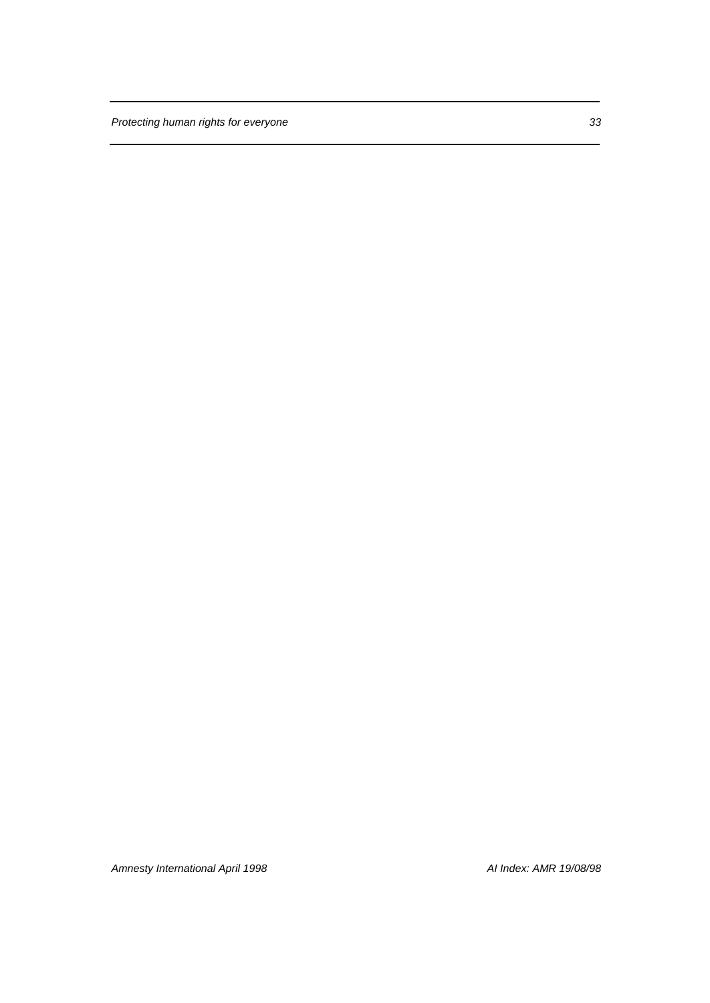*Protecting human rights for everyone 33*

*Amnesty International April 1998 AI Index: AMR 19/08/98*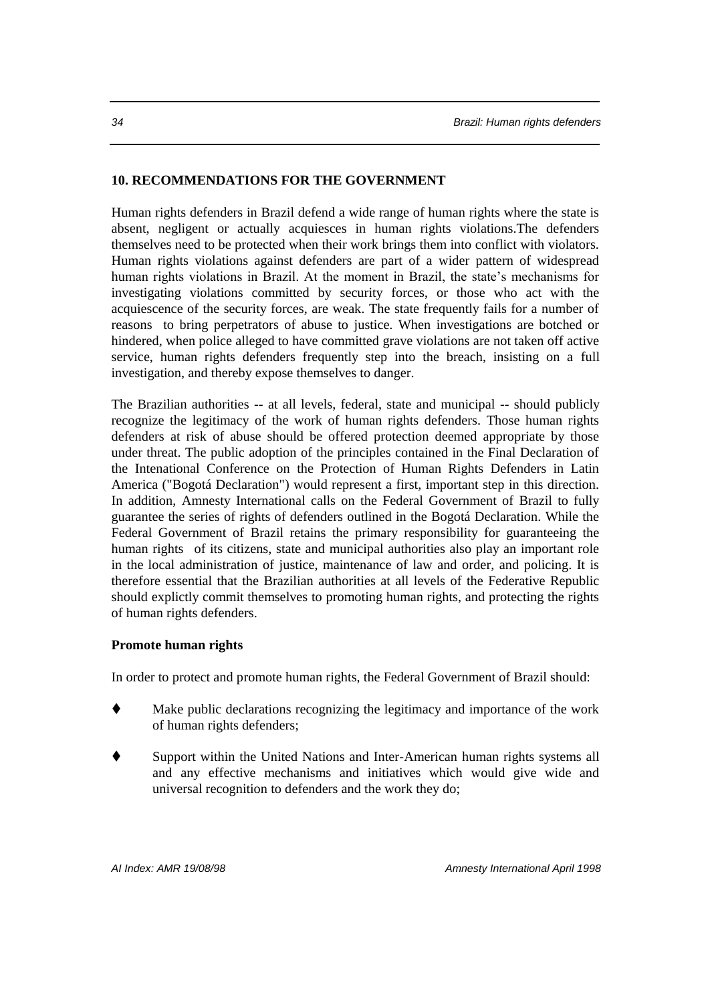# **10. RECOMMENDATIONS FOR THE GOVERNMENT**

Human rights defenders in Brazil defend a wide range of human rights where the state is absent, negligent or actually acquiesces in human rights violations.The defenders themselves need to be protected when their work brings them into conflict with violators. Human rights violations against defenders are part of a wider pattern of widespread human rights violations in Brazil. At the moment in Brazil, the state's mechanisms for investigating violations committed by security forces, or those who act with the acquiescence of the security forces, are weak. The state frequently fails for a number of reasons to bring perpetrators of abuse to justice. When investigations are botched or hindered, when police alleged to have committed grave violations are not taken off active service, human rights defenders frequently step into the breach, insisting on a full investigation, and thereby expose themselves to danger.

The Brazilian authorities -- at all levels, federal, state and municipal -- should publicly recognize the legitimacy of the work of human rights defenders. Those human rights defenders at risk of abuse should be offered protection deemed appropriate by those under threat. The public adoption of the principles contained in the Final Declaration of the Intenational Conference on the Protection of Human Rights Defenders in Latin America ("Bogotá Declaration") would represent a first, important step in this direction. In addition, Amnesty International calls on the Federal Government of Brazil to fully guarantee the series of rights of defenders outlined in the Bogotá Declaration. While the Federal Government of Brazil retains the primary responsibility for guaranteeing the human rights of its citizens, state and municipal authorities also play an important role in the local administration of justice, maintenance of law and order, and policing. It is therefore essential that the Brazilian authorities at all levels of the Federative Republic should explictly commit themselves to promoting human rights, and protecting the rights of human rights defenders.

#### **Promote human rights**

In order to protect and promote human rights, the Federal Government of Brazil should:

- Make public declarations recognizing the legitimacy and importance of the work of human rights defenders;
- Support within the United Nations and Inter-American human rights systems all and any effective mechanisms and initiatives which would give wide and universal recognition to defenders and the work they do;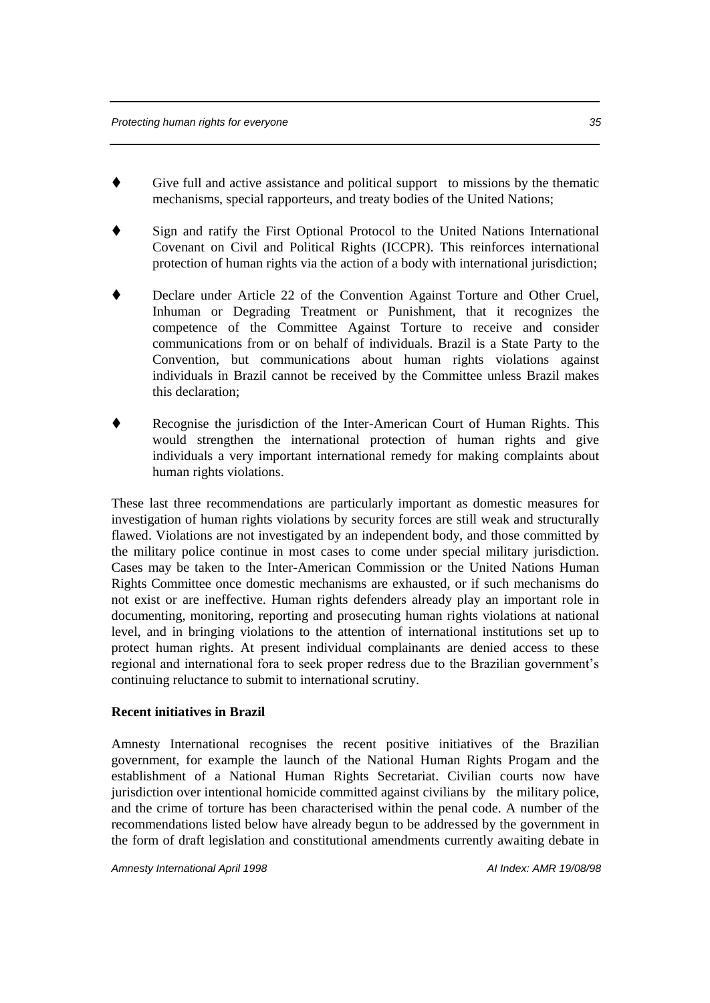- Give full and active assistance and political support to missions by the thematic mechanisms, special rapporteurs, and treaty bodies of the United Nations;
- Sign and ratify the First Optional Protocol to the United Nations International Covenant on Civil and Political Rights (ICCPR). This reinforces international protection of human rights via the action of a body with international jurisdiction;
- Declare under Article 22 of the Convention Against Torture and Other Cruel, Inhuman or Degrading Treatment or Punishment, that it recognizes the competence of the Committee Against Torture to receive and consider communications from or on behalf of individuals. Brazil is a State Party to the Convention, but communications about human rights violations against individuals in Brazil cannot be received by the Committee unless Brazil makes this declaration;
- Recognise the jurisdiction of the Inter-American Court of Human Rights. This would strengthen the international protection of human rights and give individuals a very important international remedy for making complaints about human rights violations.

These last three recommendations are particularly important as domestic measures for investigation of human rights violations by security forces are still weak and structurally flawed. Violations are not investigated by an independent body, and those committed by the military police continue in most cases to come under special military jurisdiction. Cases may be taken to the Inter-American Commission or the United Nations Human Rights Committee once domestic mechanisms are exhausted, or if such mechanisms do not exist or are ineffective. Human rights defenders already play an important role in documenting, monitoring, reporting and prosecuting human rights violations at national level, and in bringing violations to the attention of international institutions set up to protect human rights. At present individual complainants are denied access to these regional and international fora to seek proper redress due to the Brazilian government's continuing reluctance to submit to international scrutiny.

#### **Recent initiatives in Brazil**

Amnesty International recognises the recent positive initiatives of the Brazilian government, for example the launch of the National Human Rights Progam and the establishment of a National Human Rights Secretariat. Civilian courts now have jurisdiction over intentional homicide committed against civilians by the military police, and the crime of torture has been characterised within the penal code. A number of the recommendations listed below have already begun to be addressed by the government in the form of draft legislation and constitutional amendments currently awaiting debate in

*Amnesty International April 1998 AI Index: AMR 19/08/98*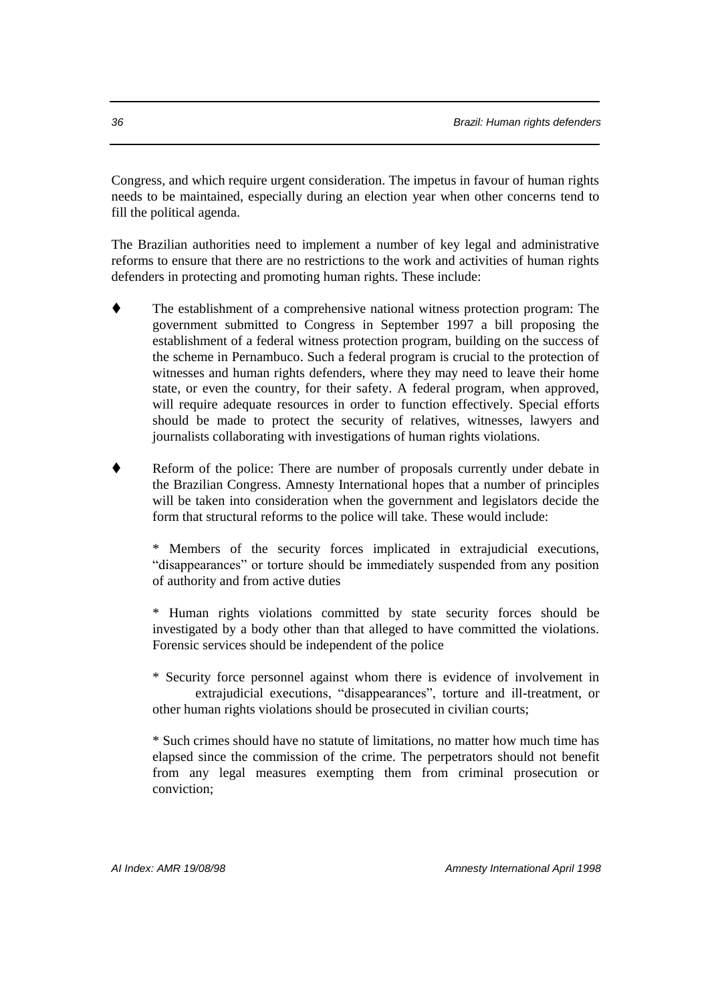Congress, and which require urgent consideration. The impetus in favour of human rights needs to be maintained, especially during an election year when other concerns tend to fill the political agenda.

The Brazilian authorities need to implement a number of key legal and administrative reforms to ensure that there are no restrictions to the work and activities of human rights defenders in protecting and promoting human rights. These include:

- The establishment of a comprehensive national witness protection program: The government submitted to Congress in September 1997 a bill proposing the establishment of a federal witness protection program, building on the success of the scheme in Pernambuco. Such a federal program is crucial to the protection of witnesses and human rights defenders, where they may need to leave their home state, or even the country, for their safety. A federal program, when approved, will require adequate resources in order to function effectively. Special efforts should be made to protect the security of relatives, witnesses, lawyers and journalists collaborating with investigations of human rights violations.
- Reform of the police: There are number of proposals currently under debate in the Brazilian Congress. Amnesty International hopes that a number of principles will be taken into consideration when the government and legislators decide the form that structural reforms to the police will take. These would include:

\* Members of the security forces implicated in extrajudicial executions, "disappearances" or torture should be immediately suspended from any position of authority and from active duties

\* Human rights violations committed by state security forces should be investigated by a body other than that alleged to have committed the violations. Forensic services should be independent of the police

\* Security force personnel against whom there is evidence of involvement in extrajudicial executions, "disappearances", torture and ill-treatment, or other human rights violations should be prosecuted in civilian courts;

\* Such crimes should have no statute of limitations, no matter how much time has elapsed since the commission of the crime. The perpetrators should not benefit from any legal measures exempting them from criminal prosecution or conviction;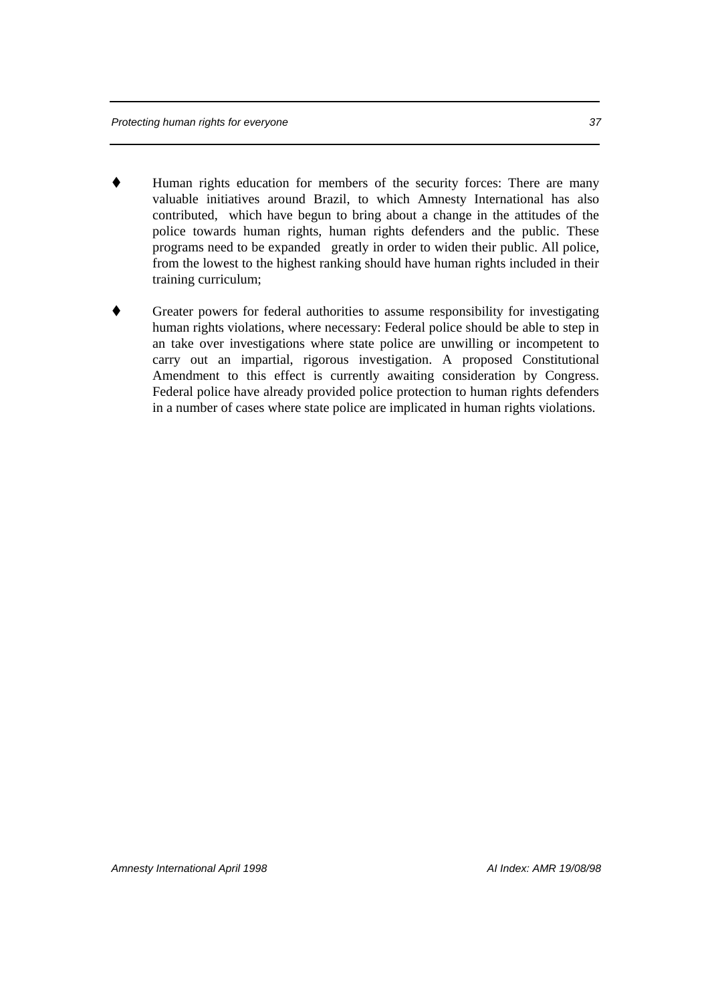- Human rights education for members of the security forces: There are many valuable initiatives around Brazil, to which Amnesty International has also contributed, which have begun to bring about a change in the attitudes of the police towards human rights, human rights defenders and the public. These programs need to be expanded greatly in order to widen their public. All police, from the lowest to the highest ranking should have human rights included in their training curriculum;
- Greater powers for federal authorities to assume responsibility for investigating human rights violations, where necessary: Federal police should be able to step in an take over investigations where state police are unwilling or incompetent to carry out an impartial, rigorous investigation. A proposed Constitutional Amendment to this effect is currently awaiting consideration by Congress. Federal police have already provided police protection to human rights defenders in a number of cases where state police are implicated in human rights violations.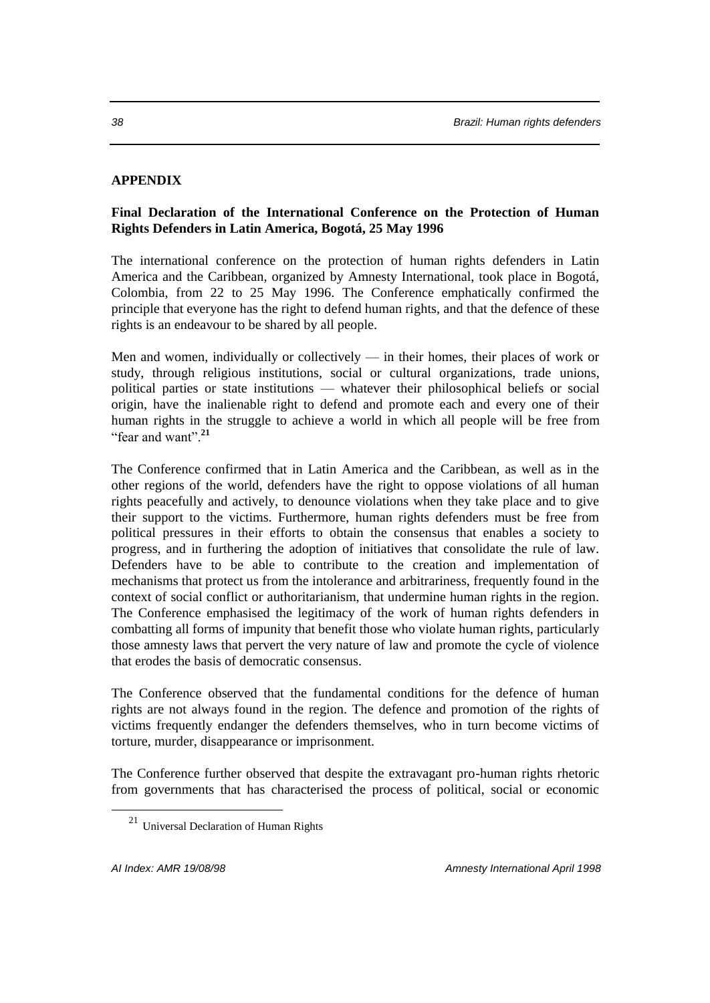# **APPENDIX**

# **Final Declaration of the International Conference on the Protection of Human Rights Defenders in Latin America, Bogotá, 25 May 1996**

The international conference on the protection of human rights defenders in Latin America and the Caribbean, organized by Amnesty International, took place in Bogotá, Colombia, from 22 to 25 May 1996. The Conference emphatically confirmed the principle that everyone has the right to defend human rights, and that the defence of these rights is an endeavour to be shared by all people.

Men and women, individually or collectively — in their homes, their places of work or study, through religious institutions, social or cultural organizations, trade unions, political parties or state institutions — whatever their philosophical beliefs or social origin, have the inalienable right to defend and promote each and every one of their human rights in the struggle to achieve a world in which all people will be free from "fear and want".**<sup>21</sup>**

The Conference confirmed that in Latin America and the Caribbean, as well as in the other regions of the world, defenders have the right to oppose violations of all human rights peacefully and actively, to denounce violations when they take place and to give their support to the victims. Furthermore, human rights defenders must be free from political pressures in their efforts to obtain the consensus that enables a society to progress, and in furthering the adoption of initiatives that consolidate the rule of law. Defenders have to be able to contribute to the creation and implementation of mechanisms that protect us from the intolerance and arbitrariness, frequently found in the context of social conflict or authoritarianism, that undermine human rights in the region. The Conference emphasised the legitimacy of the work of human rights defenders in combatting all forms of impunity that benefit those who violate human rights, particularly those amnesty laws that pervert the very nature of law and promote the cycle of violence that erodes the basis of democratic consensus.

The Conference observed that the fundamental conditions for the defence of human rights are not always found in the region. The defence and promotion of the rights of victims frequently endanger the defenders themselves, who in turn become victims of torture, murder, disappearance or imprisonment.

The Conference further observed that despite the extravagant pro-human rights rhetoric from governments that has characterised the process of political, social or economic

<sup>21</sup> Universal Declaration of Human Rights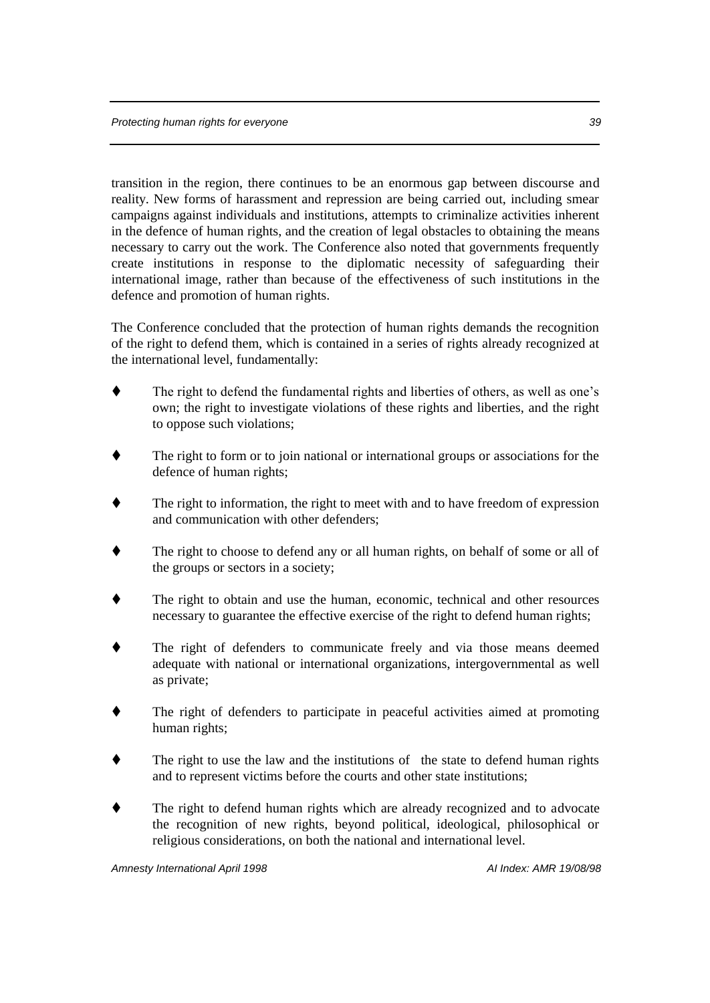transition in the region, there continues to be an enormous gap between discourse and reality. New forms of harassment and repression are being carried out, including smear campaigns against individuals and institutions, attempts to criminalize activities inherent in the defence of human rights, and the creation of legal obstacles to obtaining the means necessary to carry out the work. The Conference also noted that governments frequently create institutions in response to the diplomatic necessity of safeguarding their international image, rather than because of the effectiveness of such institutions in the defence and promotion of human rights.

The Conference concluded that the protection of human rights demands the recognition of the right to defend them, which is contained in a series of rights already recognized at the international level, fundamentally:

- The right to defend the fundamental rights and liberties of others, as well as one's own; the right to investigate violations of these rights and liberties, and the right to oppose such violations;
- The right to form or to join national or international groups or associations for the defence of human rights;
- The right to information, the right to meet with and to have freedom of expression and communication with other defenders;
- The right to choose to defend any or all human rights, on behalf of some or all of the groups or sectors in a society;
- The right to obtain and use the human, economic, technical and other resources necessary to guarantee the effective exercise of the right to defend human rights;
- The right of defenders to communicate freely and via those means deemed adequate with national or international organizations, intergovernmental as well as private;
- The right of defenders to participate in peaceful activities aimed at promoting human rights;
- The right to use the law and the institutions of the state to defend human rights and to represent victims before the courts and other state institutions;
- The right to defend human rights which are already recognized and to advocate the recognition of new rights, beyond political, ideological, philosophical or religious considerations, on both the national and international level.

*Amnesty International April 1998 AI Index: AMR 19/08/98*